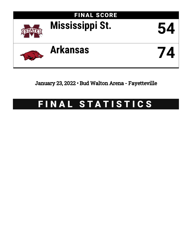

## January 23, 2022 • Bud Walton Arena - Fayetteville

# FINAL STATISTICS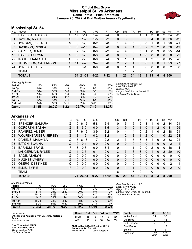### **Official Box Score Mississippi St. vs Arkansas Game Totals -- Final Statistics January 23, 2022 at Bud Walton Arena - Fayetteville**



### **Mississippi St. 54**

| No. | Plaver                | S  | <b>Pts</b>    | FG       | 3FG     | FT      | 0R | DR | TR | PF       | A        | TO       | <b>B</b> lk | Stl      | Min        | $+/-$        |
|-----|-----------------------|----|---------------|----------|---------|---------|----|----|----|----------|----------|----------|-------------|----------|------------|--------------|
| 00  | HAYES, ANASTASIA      | G  | 17            | 7-14     | 1-4     | $2 - 4$ | 0  | 3  | 3  |          |          | 3        | 0           | 2        | 34         | $-12$        |
| 01  | TAYLOR, MYAH          | G  | 3             | $1 - 7$  | $1 - 5$ | $0 - 2$ | 0  | 3  | 3  | 3        | 3        | 4        | 0           | 0        | 36         | $-19$        |
| 02  | JORDAN, JERKAILA      | G  | 6             | $3 - 8$  | $0 - 2$ | $0 - 0$ |    | 4  | 5. | 0        | 0        |          | 0           |          | 20         | $-21$        |
| 05  | JACKSON, RICKEA       | F. | 8             | $4 - 15$ | $0 - 4$ | $0 - 0$ | 0  | 4  | 4  | 0        | 2        | 2        | 2           | $\Omega$ | 38         | $-19$        |
| 25  | CARTER, DENAE         | F. | $\mathcal{P}$ | $0 - 0$  | $0 - 0$ | $2 - 2$ | 4  | 4  | 8  | 5        |          | 0        | 3           | $\Omega$ | 25         | $-14$        |
| 10  | <b>HAYES, AISLYNN</b> | G  | $\Omega$      | $0 - 3$  | $0 - 3$ | $0 - 0$ | 0  | 0  | 0  |          | 0        | 0        | 0           | 0        | 6          | $-2$         |
| 22  | KOHL, CHARLOTTE       | C  |               | $2 - 3$  | $0 - 0$ | $3 - 4$ | 3  |    | 4  | 3        |          | 2        |             | 0        | 15         | -6           |
| 23  | THOMPSON, CATERRION   | G  | 11            | $4 - 7$  | $3 - 4$ | $0 - 0$ | 2  | 2  | 4  | 0        | 0        |          | 0           |          | 23         | $-7$         |
| 24  | <b>JONES, ASHLEY</b>  | G  | $\Omega$      | $0 - 1$  | $0 - 0$ | $0 - 0$ | 0  |    |    | $\Omega$ | $\Omega$ | $\Omega$ | $\Omega$    | 0        | 2          | $\mathbf{0}$ |
|     | <b>TEAM</b>           |    |               |          |         |         |    | 1  | 2  | 0        |          | 0        |             |          |            |              |
|     | <b>TOTALS</b>         |    |               | 54 21-58 | $5-22$  | $7-12$  | 11 | 23 | 34 | 13       | 8        | 13       | 6           | 4        | <b>200</b> |              |

| <b>Shooting By Period</b> |           |          |          |       |          |       |                                                |
|---------------------------|-----------|----------|----------|-------|----------|-------|------------------------------------------------|
| Period                    | FG        | FG%      | 3FG      | 3FG%  | FT       | FT%   | Deadball Rebounds: 2,4<br>Last $FG: 4th-01:25$ |
| 1st Qtr                   | $6 - 16$  | 38%      | $1 - 3$  | 33%   | $2-2$    | 100%  | Biggest Run: 6-0                               |
| 2nd Qtr                   | $5 - 14$  | 36%      | $3 - 8$  | 38%   | 0-0      | 0%    | Largest lead: By 2 at 3rd-08:53                |
| 3rd Qtr                   | $7 - 14$  | 50%      | $1 - 4$  | 25%   | $2 - 4$  | 50%   | Technical Fouls: None.                         |
| 4th Qtr                   | $3 - 14$  | 21%      | $0 - 7$  | 00%   | $3-6$    | 50%   |                                                |
| 1st Half                  | $11 - 30$ | 37%      | $4 - 11$ | 36%   | $2 - 2$  | 100%  |                                                |
| 2nd Half                  | 10-28     | 36%      | $1 - 11$ | 09%   | $5 - 10$ | 50%   |                                                |
| Game                      | $21 - 58$ | $36.2\%$ | $5 - 22$ | 22.7% | 7-12     | 58.3% |                                                |

### **Arkansas 74**

| No. | Player                      | S | Pts | FG.      | 3FG      | FТ        | ΟR       | DR           | TR       | РF            | Α        | TO       | Blk      | Stl      | Min            | $+/-$          |
|-----|-----------------------------|---|-----|----------|----------|-----------|----------|--------------|----------|---------------|----------|----------|----------|----------|----------------|----------------|
| 02  | SPENCER, SAMARA             | G | 19  | $6 - 12$ | $5-8$    | $2 - 4$   | 0        | 5            | 5        | 2             | 3        |          | 0        | 2        | 34             | 21             |
| 13  | <b>GOFORTH, SASHA</b>       | G | 13  | $5-9$    | $0 - 0$  | $3 - 5$   | 3        | 9            | 12       |               | 0        |          | 2        | $\Omega$ | 31             | 29             |
| 23  | RAMIREZ, AMBER              | G | 17  | $6 - 15$ | $3-9$    | $2 - 2$   | 0        | 4            | 4        | 0             | 2        |          | 0        | 2        | 38             | 21             |
| 24  | <b>WOLFENBARGER, JERSEY</b> | G | 3   | $1 - 6$  | $0 - 2$  | $1 - 2$   |          | 2            | 3        |               | 2        | $\Omega$ |          | $\Omega$ | 22             | 24             |
| 43  | DANIELS, MAKAYLA            | G | 15  | $6 - 13$ | $1 - 7$  | $2 - 2$   | 2        | 3            | 5        | 3             | 3        | 1        | 0        | 2        | 33             | 21             |
| 03  | <b>EATON, ELAUNA</b>        | G | 0   | $0 - 1$  | $0 - 0$  | $0 - 0$   | 0        | $\Omega$     | $\Omega$ | 0             | $\Omega$ |          | $\Omega$ | $\Omega$ | 2              | $-1$           |
| 04  | <b>BARNUM, ERYNN</b>        | F | 3   | $0 - 3$  | $0 - 0$  | $3 - 4$   | 0        | 1            | 1        | $\mathcal{P}$ | 0        | 2        | $\Omega$ | $\Omega$ | 16             | $-4$           |
| 11  | LANGERMAN, RYLEE            | G | 4   | $2 - 5$  | $0 - 1$  | $0 - 0$   | 3        | 3            | 6        | 3             | $\Omega$ |          | $\Omega$ | 2        | 20             | $-10$          |
| 15  | SAGE, ASHLYN                | G | 0   | $0 - 0$  | $0 - 0$  | $0 - 0$   | 0        | 0            | $\Omega$ | 0             | 0        | 0        | $\Omega$ | $\Omega$ | $\mathbf 0$    | 0              |
| 22  | <b>HUGHES, AVERY</b>        | G | 0   | $0 - 0$  | $0 - 0$  | $0 - 0$   | $\Omega$ | $\Omega$     | $\Omega$ | 0             | $\Omega$ | 0        | 0        | $\Omega$ | $\mathbf{0}$   | $\overline{0}$ |
| 25  | <b>OBERG, DESTINEE</b>      | C | 0   | $0 - 0$  | $0 - 0$  | $0 - 0$   | 0        | 0            | $\Omega$ | 0             | 0        | 0        | 0        | $\Omega$ | $\overline{2}$ | $-1$           |
| 55  | <b>ELLIS, EMRIE</b>         | F | 0   | $0 - 0$  | $0 - 0$  | $0 - 0$   | $\Omega$ | $\mathbf{1}$ | 1        | 0             | $\Omega$ | $\Omega$ | $\Omega$ | $\Omega$ | 2              | $\overline{0}$ |
|     | <b>TEAM</b>                 |   |     |          |          |           | 6        |              |          | $\Omega$      |          | 0        |          |          |                |                |
|     | <b>TOTALS</b>               |   | 74  | 26-64    | $9 - 27$ | $13 - 19$ | 15       | 29           | 44       | $12 \,$       | 10       | 8        | 3        | 8        | 200            |                |

*Shooting By Period*

| Period   | FG        | FG%   | 3FG      | 3FG%  | FT        | FT%   |
|----------|-----------|-------|----------|-------|-----------|-------|
| 1st Qtr  | $6 - 15$  | 40%   | 1-7      | 14%   | $3-6$     | 50%   |
| 2nd Qtr  | $5 - 19$  | 26%   | $2 - 10$ | 20%   | $0 - 0$   | $0\%$ |
| 3rd Qtr  | $11 - 18$ | 61%   | $4-6$    | 67%   | $6 - 7$   | 86%   |
| 4th Qtr  | $4 - 12$  | 33%   | $2 - 4$  | 50%   | $4-6$     | 67%   |
| 1st Half | $11 - 34$ | 32%   | $3 - 17$ | 18%   | $3-6$     | 50%   |
| 2nd Half | 15-30     | 50%   | $6 - 10$ | 60%   | $10 - 13$ | 77%   |
| Game     | 26-64     | 40.6% | $9 - 27$ | 33.3% | $13-19$   | 68.4% |

*Deadball Rebounds:* 2,0 *Last FG:* 4th-00:57 *Biggest Run:* 11-0 *Largest lead:* By 22 at 4th-04:05 *Technical Fouls:* None.

| Game Notes:                                                       | <b>Score</b>                         | 1st | 2nd | 3rd | 4th | <b>TOT</b> | <b>Points</b>     | <b>MSU</b>         | <b>ARK</b> |
|-------------------------------------------------------------------|--------------------------------------|-----|-----|-----|-----|------------|-------------------|--------------------|------------|
| Officials: Dee Kantner, Bryan Enterline, Karleena<br><b>Tobin</b> | <b>MSU</b>                           | 15  | 13  |     |     | 54         | In the Paint      | 24                 | 30         |
| Attendance: 4177                                                  | ARK                                  | 16  | 12  | 32  | 14  | 74         | Off Turns         |                    | 13         |
|                                                                   |                                      |     |     |     |     |            | 2nd Chance        |                    | 12         |
| Start Time: 04:02 PM ET<br>End Time: 05:49 PM ET                  | MSU led for 5:01. ARK led for 32:15. |     |     |     |     |            | <b>Fast Break</b> |                    | 13         |
| ______                                                            | Game was tied for 2:41.              |     |     |     |     |            | <b>Danah</b>      | $\Lambda$ $\Omega$ |            |

End Time: **05:49 PM ET** Game Duration: **1:46** Conference Game;

**f** Times tied: 4 Lead Changes: 8

| In the Paint | 24             | 30             |
|--------------|----------------|----------------|
| Off Turns    | 2              | 13             |
| 2nd Chance   |                | 12             |
| Fast Break   |                | 13             |
| Bench        | 18             |                |
| Per Poss     | 0.844<br>25/64 | 1.072<br>33/69 |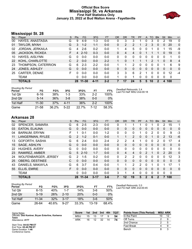### **Official Box Score Mississippi St. vs Arkansas First Half Statistics Only January 23, 2022 at Bud Walton Arena - Fayetteville**



### **Mississippi St. 28**

| No.       | Player                 | S | <b>Pts</b> | FG.       | 3FG     | <b>FT</b> | <b>OR</b> | <b>DR</b> | TR       | PF | A | TO       | <b>Blk</b> | Stl      | <b>Min</b> | $+/-$          |
|-----------|------------------------|---|------------|-----------|---------|-----------|-----------|-----------|----------|----|---|----------|------------|----------|------------|----------------|
| 00        | HAYES, ANASTASIA       | G | 9          | $4-9$     | $1 - 3$ | $0-0$     | 0         | 3         | 3        |    | 0 | 3        | 0          | 2        | 19         | $\mathbf{0}$   |
| 01        | TAYLOR, MYAH           | G | 3          | $1 - 2$   | $1 - 1$ | $0 - 0$   | 0         | 2         | 2        | 1  | 2 | 3        | $\Omega$   | 0        | 20         | $\Omega$       |
| 02        | JORDAN, JERKAILA       | G | 4          | $2-6$     | $0 - 2$ | $0 - 0$   |           | 4         | 5        | 0  | O |          |            |          | 15         | -9             |
| 05        | <b>JACKSON, RICKEA</b> | F | 4          | $2 - 10$  | $0 - 3$ | $0 - 0$   | 0         | 4         | 4        | 0  |   |          |            | 0        | 19         | $\Omega$       |
| 10        | HAYES, AISLYNN         | G | 0          | $0-0$     | $0 - 0$ | $0-0$     | 0         | 0         | 0        | 0  | 0 | 0        | 0          | 0        | 1          | $\mathbf{0}$   |
| <b>22</b> | KOHL, CHARLOTTE        | C | 2          | $0 - 0$   | $0 - 0$ | $2 - 2$   |           | 0         |          |    |   | 2        |            | $\Omega$ | 8          | $\overline{4}$ |
| 23        | THOMPSON, CATERRION    | G | 6          | $2 - 3$   | $2 - 2$ | $0 - 0$   |           |           | 2        | 0  | 0 | 0        | 0          |          | 6          | 9              |
| 24        | JONES, ASHLEY          | G | 0          | $0 - 0$   | $0 - 0$ | $0 - 0$   | 0         | 0         | $\Omega$ | 0  | 0 | $\Omega$ | $\Omega$   | 0        | $\Omega$   | 0              |
| 25        | CARTER, DENAE          | F | 0          | $0 - 0$   | $0 - 0$ | $0 - 0$   | 3         | 3         | 6        | 2  |   | 0        | 0          | 0        | 12         | -4             |
|           | TEAM                   |   | 0          | $0 - 0$   | $0 - 0$ | $0 - 0$   | 1         | 0         | 1        | 0  | 0 | 0        | 0          | 0        | 0          |                |
|           | <b>TOTALS</b>          |   | 28         | $11 - 30$ | 4-11    | $2 - 2$   |           | 17        | 24       | 5  | 5 | 10       |            | 4        | 100        |                |

| <b>Shooting By Period</b><br>Period | FG        | FG%   | 3FG      | 3FG%  | FT      | FT%   | Deadball Rebounds: 2,4<br>Last FG Half: MSU 2nd-00:18 |
|-------------------------------------|-----------|-------|----------|-------|---------|-------|-------------------------------------------------------|
| 1st Qtr                             | $6 - 16$  | 38%   | $1 - 3$  | 33%   | $2 - 2$ | 100%  |                                                       |
| 2nd Qtr                             | $5 - 14$  | 36%   | $3 - 8$  | 38%   | $0 - 0$ | 0%    |                                                       |
| 1st Half                            | $11 - 30$ | 37%   | $4 - 11$ | 36%   | $2 - 2$ | 100%  |                                                       |
| Game                                | 21-58     | 36.2% | $5-22$   | 22.7% | 7-12    | 58.3% |                                                       |

### **Arkansas 28**

| No. | Player                      | S | <b>Pts</b>    | <b>FG</b> | 3FG      | <b>FT</b> | <b>OR</b>      | <b>DR</b> | TR             | <b>PF</b>     | A           | TO       | <b>B</b> lk | Stl           | Min          | $+/-$ |
|-----|-----------------------------|---|---------------|-----------|----------|-----------|----------------|-----------|----------------|---------------|-------------|----------|-------------|---------------|--------------|-------|
| 02  | SPENCER, SAMARA             | G | 6             | $2 - 5$   | $2 - 3$  | $0 - 0$   | 0              | 1         |                |               | 0           |          | 0           | 2             | 15           | 1     |
| 03  | EATON, ELAUNA               | G | 0             | $0 - 0$   | $0 - 0$  | $0 - 0$   | $\Omega$       | 0         | 0              | $\Omega$      | 0           | 0        | $\Omega$    | $\mathbf{0}$  | $\Omega$     | 0     |
| 04  | <b>BARNUM, ERYNN</b>        | F |               | $0 - 1$   | $0 - 0$  | $1 - 2$   | $\Omega$       | 0         | $\mathbf{0}$   | 1             | 0           | 2        | 0           | 0             | 9            | $-3$  |
| 11  | LANGERMAN, RYLEE            | G | $\mathcal{P}$ | $1 - 2$   | $0 - 1$  | $0 - 0$   |                | 1         | $\overline{2}$ | $\Omega$      | $\Omega$    |          | $\Omega$    | 2             | 13           | $-6$  |
| 13  | GOFORTH, SASHA              | G | 6             | $2 - 4$   | $0 - 0$  | $2 - 4$   | $\overline{2}$ | 2         | 4              | 1             | 0           | 0        | 2           | 0             | 17           | 4     |
| 15  | SAGE, ASHLYN                | G | $\Omega$      | $0 - 0$   | $0 - 0$  | $0 - 0$   | $\Omega$       | $\Omega$  | $\Omega$       | $\Omega$      | $\Omega$    | $\Omega$ | $\Omega$    | $\Omega$      | $\mathbf{0}$ | 0     |
| 22  | <b>HUGHES, AVERY</b>        | G | 0             | $0 - 0$   | $0 - 0$  | $0 - 0$   | $\Omega$       | 0         | $\Omega$       | 0             | 0           | 0        | 0           | $\Omega$      | $\Omega$     | 0     |
| 23  | RAMIREZ, AMBER              | G | 5             | $2 - 10$  | $1 - 7$  | $0 - 0$   | $\Omega$       | 4         | $\overline{4}$ | $\Omega$      | 2           |          | $\Omega$    | $\mathcal{P}$ | 20           | 0     |
| 24  | <b>WOLFENBARGER, JERSEY</b> | G | 2             | $1 - 5$   | $0 - 2$  | $0 - 0$   | $\Omega$       | 2         | $\overline{2}$ | 0             | 0           | 0        | $\Omega$    | 0             | 12           | 3     |
| 25  | <b>OBERG, DESTINEE</b>      | C | $\Omega$      | $0 - 0$   | $0 - 0$  | $0 - 0$   | $\Omega$       | $\Omega$  | $\Omega$       | $\Omega$      | $\Omega$    | $\Omega$ | $\Omega$    | $\Omega$      | $\Omega$     | 0     |
| 43  | DANIELS, MAKAYLA            | G | 6             | $3 - 7$   | $0 - 4$  | $0 - 0$   | 1              | 1         | 2              | $\mathcal{P}$ | 0           |          | $\Omega$    |               | 17           | 1     |
| 55  | ELLIS, EMRIE                | F | $\Omega$      | $0 - 0$   | $0 - 0$  | $0 - 0$   | $\Omega$       | $\Omega$  | $\Omega$       | 0             | $\Omega$    | 0        | $\Omega$    | $\Omega$      | $\Omega$     | 0     |
|     | <b>TEAM</b>                 |   | 0             | $0 - 0$   | $0 - 0$  | $0 - 0$   | 3              | 1         | 4              | 0             | 0           | 0        | 0           | 0             | 0            |       |
|     | <b>TOTALS</b>               |   | 28            | $11 - 34$ | $3 - 17$ | $3 - 6$   | 7              | 12        | 19             | 5             | $\mathbf 2$ | 6        | 2           |               | 100          |       |

| <b>Shooting By Period</b> |           |                 |          |       |           |       |
|---------------------------|-----------|-----------------|----------|-------|-----------|-------|
| Period                    | FG        | FG%             | 3FG      | 3FG%  | FT        | FT%   |
| 1st Otr                   | 6-15      | 40 <sup>%</sup> | $1 - 7$  | 14%   | $3-6$     | 50%   |
| 2nd Otr                   | $5 - 19$  | 26%             | $2 - 10$ | 20%   | $0 - 0$   | $0\%$ |
| 1st Half                  | $11 - 34$ | 32%             | $3 - 17$ | 18%   | $3-6$     | 50%   |
| Game                      | 26-64     | 40.6%           | $9 - 27$ | 33.3% | $13 - 19$ | 68.4% |

*Deadball Rebounds:* 2,0 *Last FG Half:* ARK 2nd-00:45

| Game Notes:                                                | <b>Score</b> | 1st | 2nd | 3rd | 4th | <b>TOT</b> | <b>Points from (This Period)</b> | <b>MSU ARK</b> |
|------------------------------------------------------------|--------------|-----|-----|-----|-----|------------|----------------------------------|----------------|
| Officials: Dee Kantner, Bryan Enterline, Karleena<br>Tobin | MSU          | 15  |     |     |     | 54         | In the Paint                     |                |
| Attendance: 4177                                           | ARK          | 16  | 12  | 32  |     | 74         | Off Turns                        |                |
|                                                            |              |     |     |     |     |            | 2nd Chance                       |                |
| Start Time: 04:02 PM ET<br>End Time: 05:49 PM ET           |              |     |     |     |     |            | <b>Fast Break</b>                |                |
| Game Duration: 1:46                                        |              |     |     |     |     |            | Bench                            |                |

End Time: **05:49 PM ET** Game Duration: **1:46** Conference Game;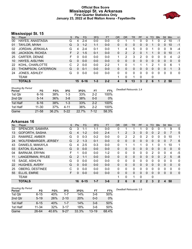### **Official Box Score Mississippi St. vs Arkansas First Quarter Statistics Only January 23, 2022 at Bud Walton Arena - Fayetteville**



### **Mississippi St. 15**

| No. | Plaver                 | S. | <b>Pts</b> | <b>FG</b> | 3FG     | <b>FT</b> | <b>OR</b>    | DR            | TR | PF | A            | TO       | <b>Blk</b> | Stl      | Min | $+/-$        |
|-----|------------------------|----|------------|-----------|---------|-----------|--------------|---------------|----|----|--------------|----------|------------|----------|-----|--------------|
| 00  | HAYES, ANASTASIA       | G  | 4          | $2 - 4$   | $0 - 0$ | $0 - 0$   | 0            |               |    | 0  | 0            |          | 0          | 2        | 10  | $-1$         |
| 01  | TAYLOR, MYAH           | G  | 3          | $1 - 2$   | $1 - 1$ | $0 - 0$   | $\mathbf{0}$ | 0             | 0  | 0  | $\mathbf{0}$ |          | 0          | 0        | 10  | $-1$         |
| 02  | JORDAN, JERKAILA       | G  | 4          | $2 - 4$   | $0 - 1$ | $0-0$     | 1            | 4             | 5  | 0  | 0            |          | 0          | 0        | -9  | -4           |
| 05  | <b>JACKSON, RICKEA</b> | F. | 2          | $1 - 5$   | $0 - 1$ | $0-0$     | $\Omega$     | $\mathcal{P}$ | 2  | 0  |              |          | 0          | 0        | 10  | $-1$         |
| 25  | CARTER, DENAE          | F  | O          | $0 - 0$   | $0-0$   | $0 - 0$   | 1            | 2             | 3  | 2  | 0            | 0        | 0          | 0        | 4   | $-2$         |
| 10  | HAYES, AISLYNN         | G  | 0          | $0 - 0$   | $0 - 0$ | $0 - 0$   | 0            | 0             | 0  | 0  | $\mathbf{0}$ | $\Omega$ | 0          | $\Omega$ | 0   | $\mathbf{0}$ |
| 22  | KOHL, CHARLOTTE        | С  | 2          | $0 - 0$   | $0 - 0$ | $2 - 2$   |              | 0             |    |    |              | 2        |            | 0        | 6   | 1.           |
| 23  | THOMPSON, CATERRION    | G  | 0          | $0 - 1$   | $0 - 0$ | $0 - 0$   | 0            | $\Omega$      | 0  | 0  | 0            | $\Omega$ | 0          | $\Omega$ |     | 3            |
| 24  | <b>JONES, ASHLEY</b>   | G  | 0          | $0 - 0$   | $0-0$   | $0-0$     | 0            | 0             | 0  | 0  | 0            | $\Omega$ | 0          | 0        | 0   | $\mathbf{0}$ |
|     | TEAM                   |    |            |           |         |           |              | $\mathbf{0}$  | 1  | 0  |              | 0        |            |          |     |              |
|     | <b>TOTALS</b>          |    | 15         | $6 - 16$  | $1 - 3$ | $2 - 2$   | Δ            | 9             | 13 | 3  | 2            | 6        | 1          | 2        | 50  |              |

| <b>Shooting By Period</b><br>Period | FG        | FG%   | 3FG      | 3FG%  | FT      | FT%   | Deadball Rebounds: 2,4 |
|-------------------------------------|-----------|-------|----------|-------|---------|-------|------------------------|
| 1st Qtr                             | $6 - 16$  | 38%   | $1 - 3$  | 33%   | $2 - 2$ | 100%  |                        |
| 2nd Qtr                             | $5 - 14$  | 36%   | $3 - 8$  | 38%   | 0-0     | $0\%$ |                        |
| 1st Half                            | $6 - 16$  | 38%   | $1 - 3$  | 33%   | $2 - 2$ | 100%  |                        |
| 1st Half                            | $11 - 30$ | 37%   | $4 - 11$ | 36%   | $2 - 2$ | 100%  |                        |
| Game                                | 21-58     | 36.2% | $5 - 22$ | 22.7% | 7-12    | 58.3% |                        |

### **Arkansas 16**

| No. | Player                      | S  | Pts            | <b>FG</b> | 3FG     | <b>FT</b> | 0R           | <b>DR</b> | <b>TR</b> | PF | A            | TO       | <b>B</b> lk  | Stl            | Min          | $+/-$        |
|-----|-----------------------------|----|----------------|-----------|---------|-----------|--------------|-----------|-----------|----|--------------|----------|--------------|----------------|--------------|--------------|
| 02  | SPENCER, SAMARA             | G  | 3              | 1-1       | 1-1     | $0 - 0$   | 0            |           |           |    | 0            |          | 0            |                | 9            | 5            |
| 13  | GOFORTH, SASHA              | G  | 4              | $1 - 2$   | $0 - 0$ | $2 - 4$   |              | 2         | 3         | 0  | $\mathbf{0}$ | $\Omega$ | 2            | $\mathbf{0}$   | 7            | 5            |
| 23  | RAMIREZ, AMBER              | G  | 0              | $0 - 3$   | $0 - 2$ | $0 - 0$   | 0            | 2         | 2         | 0  | 2            | 0        | 0            | 0              | 10           | 1            |
| 24  | <b>WOLFENBARGER, JERSEY</b> | G  | $\overline{2}$ | $1 - 3$   | $0 - 1$ | $0 - 0$   | $\mathbf{0}$ | $\Omega$  | 0         | 0  | $\mathbf{0}$ | $\Omega$ | 0            | $\mathbf{0}$   |              | 6            |
| 43  | DANIELS, MAKAYLA            | G  | 4              | $2 - 5$   | $0 - 3$ | $0 - 0$   | 0            | 1         | 1         |    | 0            |          | 0            |                | 10           | 1            |
| 03  | EATON, ELAUNA               | G  | 0              | $0 - 0$   | $0 - 0$ | $0 - 0$   | $\mathbf{0}$ | 0         | 0         | 0  | $\mathbf{0}$ | $\Omega$ | 0            | $\mathbf{0}$   | 0            | 0            |
| 04  | <b>BARNUM, ERYNN</b>        | F  |                | $0 - 0$   | $0 - 0$ | $1 - 2$   | 0            | 0         | 0         | 0  | 0            | 2        | 0            | 0              | 4            | $-5$         |
| 11  | LANGERMAN, RYLEE            | G  | $\overline{2}$ | $1 - 1$   | $0 - 0$ | $0 - 0$   | $\Omega$     | 0         | 0         | 0  | $\mathbf{0}$ | $\Omega$ | 0            | $\overline{2}$ | 5            | -8           |
| 15  | SAGE, ASHLYN                | G  | 0              | $0 - 0$   | $0 - 0$ | $0 - 0$   | $\Omega$     | 0         | 0         | 0  | 0            | $\Omega$ | 0            | $\Omega$       | $\Omega$     | 0            |
| 22  | <b>HUGHES, AVERY</b>        | G  | $\Omega$       | $0 - 0$   | $0 - 0$ | $0 - 0$   | $\Omega$     | 0         | 0         | 0  | $\mathbf{0}$ | $\Omega$ | $\Omega$     | $\Omega$       | $\Omega$     | $\mathbf 0$  |
| 25  | <b>OBERG, DESTINEE</b>      | C  | <sup>0</sup>   | $0 - 0$   | $0 - 0$ | $0 - 0$   | $\Omega$     | 0         | 0         | 0  | 0            | $\Omega$ | 0            | $\Omega$       | $\Omega$     | 0            |
| 55  | ELLIS, EMRIE                | F. | 0              | $0 - 0$   | $0 - 0$ | $0 - 0$   | $\mathbf{0}$ | 0         | 0         | 0  | $\Omega$     | $\Omega$ | 0            | $\Omega$       | $\mathbf{0}$ | $\mathbf{0}$ |
|     | <b>TEAM</b>                 |    |                |           |         |           | 1            | 0         | 1         | 0  |              | 0        |              |                |              |              |
|     | <b>TOTALS</b>               |    | 16             | $6 - 15$  | $1 - 7$ | $3 - 6$   | 2            | 6         | 8         | 2  | $\mathbf{2}$ | 3        | $\mathbf{2}$ | 4              | 50           |              |

| <b>Shooting By Period</b> |          |       |          |            |           |       |
|---------------------------|----------|-------|----------|------------|-----------|-------|
| Period                    | FG       | FG%   | 3FG      | 3FG%       | FT        | FT%   |
| 1st Qtr                   | $6 - 15$ | 40%   | $1 - 7$  | 14%        | $3-6$     | 50%   |
| 2nd Qtr                   | $5 - 19$ | 26%   | $2 - 10$ | <b>20%</b> | $0 - 0$   | $0\%$ |
| 1st Half                  | $6 - 15$ | 40%   | $1 - 7$  | 14%        | $3-6$     | 50%   |
| 1st Half                  | 11-34    | 32%   | $3 - 17$ | 18%        | $3-6$     | 50%   |
| Game                      | 26-64    | 40.6% | $9 - 27$ | 33.3%      | $13 - 19$ | 68.4% |

*Deadball Rebounds:* 2,0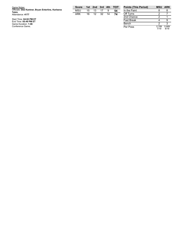| Game Notes:<br>Officials: Dee Kantner, Bryan Enterline, Karleena<br><b>Tobin</b> | <b>Score</b><br><b>MSU</b> | 15 | 1st 2nd | $\blacksquare$ 3rd | 4th | тот<br>54 | <b>Points (This Period)</b><br>In the Paint | <b>MSU</b> | <b>ARK</b> |
|----------------------------------------------------------------------------------|----------------------------|----|---------|--------------------|-----|-----------|---------------------------------------------|------------|------------|
| Attendance: 4177                                                                 | ARK                        | 16 | 12      | 32                 | 14  | 74        | Off Turns                                   |            |            |
|                                                                                  |                            |    |         |                    |     |           | 2nd Chance                                  |            |            |
| Start Time: 04:02 PM ET<br>End Time: 05:49 PM ET                                 |                            |    |         |                    |     |           | <b>Fast Break</b>                           |            |            |
| Game Duration: 1:46                                                              |                            |    |         |                    |     |           | Bench                                       |            |            |
| Conference Game;                                                                 |                            |    |         |                    |     |           | Per Poss                                    | 0.789      | 0.889      |

| In the Paint | 8             | 8             |
|--------------|---------------|---------------|
| Off Turns    | 2             |               |
| 2nd Chance   | 2             |               |
| Fast Break   |               |               |
| Bench        | 2             | 3             |
| Per Poss     | 0.789<br>7/19 | 0.889<br>8/18 |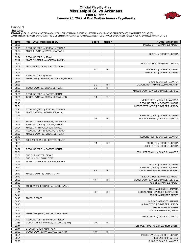#### **Official Play-By-Play Mississippi St. vs Arkansas First Quarter January 23, 2022 at Bud Walton Arena - Fayetteville**



#### **Period 1**

**Starters:**<br>Mississippi St.: 0 HAYES,ANASTASIA (G); 1 TAYLOR,MYAH (G); 2 JORDAN,JERKAILA (G); 5 JACKSON,RICKEA (F); 25 CARTER,DENAE (F);<br>**Arkansas**: 2 SPENCER,SAMARA (G); 13 GOFORTH,SASHA (G); 23 RAMIREZ,AMBER (G); 24 WOLF

| Time           | <b>VISITORS: Mississippi St.</b>                                    | <b>Score</b> | <b>Margin</b>  | <b>HOME: Arkansas</b>                                     |
|----------------|---------------------------------------------------------------------|--------------|----------------|-----------------------------------------------------------|
| 09:50          |                                                                     |              |                | MISSED 3PTR by RAMIREZ, AMBER                             |
| 09:45          | REBOUND (DEF) by JORDAN, JERKAILA                                   |              |                |                                                           |
| 09:24          | MISSED LAYUP by HAYES, ANASTASIA                                    |              |                |                                                           |
| 09:24          |                                                                     |              |                | BLOCK by GOFORTH, SASHA                                   |
| 09:24          | REBOUND (OFF) by TEAM                                               |              |                |                                                           |
| 09:17          | MISSED JUMPER by JACKSON, RICKEA                                    |              |                |                                                           |
| 09:13          |                                                                     |              |                | REBOUND (DEF) by RAMIREZ, AMBER                           |
| 08:57          | FOUL (PERSONAL) by CARTER, DENAE                                    |              |                |                                                           |
| 08:57<br>08:57 |                                                                     | $1 - 0$      | H <sub>1</sub> | GOOD! FT by GOFORTH, SASHA<br>MISSED FT by GOFORTH, SASHA |
| 08:57          | REBOUND (DEF) by TEAM                                               |              |                |                                                           |
| 08:44          | TURNOVER (LOSTBALL) by JACKSON, RICKEA                              |              |                |                                                           |
| 08:44          |                                                                     |              |                | STEAL by DANIELS, MAKAYLA                                 |
| 08:38          |                                                                     | $3-0$        | $H_3$          | GOOD! LAYUP by DANIELS, MAKAYLA [FB]                      |
| 08:23          | GOOD! LAYUP by JORDAN, JERKAILA                                     | $3-2$        | H <sub>1</sub> |                                                           |
| 08:09          |                                                                     |              |                | MISSED LAYUP by WOLFENBARGER, JERSEY                      |
| 08:06          | REBOUND (DEF) by CARTER, DENAE                                      |              |                |                                                           |
| 08:01          | GOOD! LAYUP by JORDAN, JERKAILA [FB]                                | $3 - 4$      | V <sub>1</sub> |                                                           |
| 07:54          |                                                                     |              |                | MISSED 3PTR by DANIELS, MAKAYLA                           |
| 07:49          |                                                                     |              |                | REBOUND (OFF) by GOFORTH, SASHA                           |
| 07:31          |                                                                     |              |                | MISSED 3PTR by WOLFENBARGER, JERSEY                       |
| 07:26          | REBOUND (DEF) by JORDAN, JERKAILA                                   |              |                |                                                           |
| 07:21          | MISSED 3PTR by JORDAN, JERKAILA                                     |              |                |                                                           |
| 07:17          |                                                                     |              |                | REBOUND (DEF) by GOFORTH, SASHA                           |
| 07:01          |                                                                     | $5 - 4$      | H <sub>1</sub> | GOOD! JUMPER by DANIELS, MAKAYLA                          |
| 06:29<br>06:26 | MISSED JUMPER by HAYES, ANASTASIA<br>REBOUND (OFF) by CARTER, DENAE |              |                |                                                           |
| 06:24          | MISSED 3PTR by JACKSON, RICKEA                                      |              |                |                                                           |
| 06:20          | REBOUND (OFF) by JORDAN, JERKAILA                                   |              |                |                                                           |
| 06:20          | MISSED LAYUP by JORDAN, JERKAILA                                    |              |                |                                                           |
| 06:17          |                                                                     |              |                | REBOUND (DEF) by DANIELS, MAKAYLA                         |
| 06:09          | FOUL (PERSONAL) by CARTER, DENAE                                    |              |                |                                                           |
| 06:09          |                                                                     | $6 - 4$      | H <sub>2</sub> | GOOD! FT by GOFORTH, SASHA                                |
| 06:09          |                                                                     |              |                | MISSED FT by GOFORTH, SASHA                               |
| 06:07          | REBOUND (DEF) by CARTER, DENAE                                      |              |                |                                                           |
| 05:51          |                                                                     |              |                | FOUL (PERSONAL) by DANIELS, MAKAYLA                       |
| 05:51          | SUB OUT: CARTER, DENAE                                              |              |                |                                                           |
| 05:51          | SUB IN: KOHL, CHARLOTTE                                             |              |                |                                                           |
| 05:47          | MISSED JUMPER by JACKSON, RICKEA                                    |              |                |                                                           |
| 05:47          |                                                                     |              |                | BLOCK by GOFORTH, SASHA                                   |
| 05:42          |                                                                     |              |                | REBOUND (DEF) by GOFORTH, SASHA                           |
| 05:41          |                                                                     | $8 - 4$      | H <sub>4</sub> | GOOD! LAYUP by GOFORTH, SASHA [FB]                        |
| 05:17<br>05:13 | MISSED LAYUP by TAYLOR, MYAH                                        |              |                | REBOUND (DEF) by RAMIREZ, AMBER                           |
|                |                                                                     | 10-4         | H <sub>6</sub> | GOOD! LAYUP by WOLFENBARGER, JERSEY                       |
| 05:06<br>05:06 |                                                                     |              |                | ASSIST by RAMIREZ, AMBER                                  |
| 04:47          | TURNOVER (LOSTBALL) by TAYLOR, MYAH                                 |              |                |                                                           |
| 04:47          |                                                                     |              |                | STEAL by SPENCER, SAMARA                                  |
| 04:41          |                                                                     | $13 - 4$     | H9             | GOOD! 3PTR by SPENCER, SAMARA [FB]                        |
| 04:41          |                                                                     |              |                | ASSIST by RAMIREZ, AMBER                                  |
| 04:40          | TIMEOUT 30SEC                                                       |              |                |                                                           |
| 04:40          |                                                                     |              |                | SUB OUT: SPENCER, SAMARA                                  |
| 04:40          |                                                                     |              |                | SUB OUT: WOLFENBARGER, JERSEY                             |
| 04:40          |                                                                     |              |                | SUB IN: BARNUM, ERYNN                                     |
| 04:40          |                                                                     |              |                | SUB IN: LANGERMAN, RYLEE                                  |
| 04:26          | TURNOVER (3SEC) by KOHL, CHARLOTTE                                  |              |                |                                                           |
| 04:16          |                                                                     |              |                | MISSED 3PTR by DANIELS, MAKAYLA                           |
| 04:13          | REBOUND (DEF) by JACKSON, RICKEA                                    |              |                |                                                           |
| 03:58          | GOOD! JUMPER by HAYES, ANASTASIA [PNT]                              | $13-6$       | H <sub>7</sub> |                                                           |
| 03:41          |                                                                     |              |                | TURNOVER (BADPASS) by BARNUM, ERYNN                       |
| 03:41          | STEAL by HAYES, ANASTASIA                                           |              |                |                                                           |
| 03:36          | GOOD! LAYUP by HAYES, ANASTASIA [FB]                                | $13 - 8$     | H <sub>5</sub> |                                                           |
| 03:21<br>03:21 |                                                                     |              |                | MISSED LAYUP by GOFORTH, SASHA<br>REBOUND (OFF) by TEAM   |
| 03:20          |                                                                     |              |                | SUB OUT: DANIELS, MAKAYLA                                 |
|                |                                                                     |              |                |                                                           |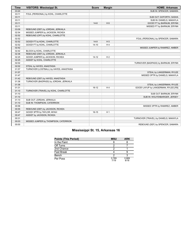| <b>Time</b> | <b>VISITORS: Mississippi St.</b>        | <b>Score</b> | <b>Margin</b>  | <b>HOME: Arkansas</b>                 |
|-------------|-----------------------------------------|--------------|----------------|---------------------------------------|
| 03:20       |                                         |              |                | SUB IN: SPENCER, SAMARA               |
| 03:11       | FOUL (PERSONAL) by KOHL, CHARLOTTE      |              |                |                                       |
| 03:11       |                                         |              |                | SUB OUT: GOFORTH, SASHA               |
| 03:11       |                                         |              |                | SUB IN: DANIELS, MAKAYLA              |
| 03:11       |                                         | $14 - 8$     | H <sub>6</sub> | GOOD! FT by BARNUM, ERYNN             |
| 03:11       |                                         |              |                | MISSED FT by BARNUM, ERYNN            |
| 03:09       | REBOUND (DEF) by JORDAN, JERKAILA       |              |                |                                       |
| 02:54       | MISSED JUMPER by JACKSON, RICKEA        |              |                |                                       |
| 02:52       | REBOUND (OFF) by KOHL, CHARLOTTE        |              |                |                                       |
| 02:52       |                                         |              |                | FOUL (PERSONAL) by SPENCER, SAMARA    |
| 02:52       | GOOD! FT by KOHL, CHARLOTTE             | $14-9$       | H <sub>5</sub> |                                       |
| 02:52       | GOOD! FT by KOHL, CHARLOTTE             | $14 - 10$    | H4             |                                       |
| 02:42       |                                         |              |                | MISSED JUMPER by RAMIREZ, AMBER       |
| 02:42       | BLOCK by KOHL, CHARLOTTE                |              |                |                                       |
| 02:36       | REBOUND (DEF) by JORDAN, JERKAILA       |              |                |                                       |
| 02:25       | GOOD! JUMPER by JACKSON, RICKEA         | $14 - 12$    | H <sub>2</sub> |                                       |
| 02:25       | ASSIST by KOHL, CHARLOTTE               |              |                |                                       |
| 02:02       |                                         |              |                | TURNOVER (BADPASS) by BARNUM, ERYNN   |
| 02:02       | STEAL by HAYES, ANASTASIA               |              |                |                                       |
| 01:57       | TURNOVER (LOSTBALL) by HAYES, ANASTASIA |              |                |                                       |
| 01:57       |                                         |              |                | STEAL by LANGERMAN, RYLEE             |
| 01:47       |                                         |              |                | MISSED 3PTR by DANIELS, MAKAYLA       |
| 01:42       | REBOUND (DEF) by HAYES, ANASTASIA       |              |                |                                       |
| 01:36       | TURNOVER (BADPASS) by JORDAN, JERKAILA  |              |                |                                       |
| 01:36       |                                         |              |                | STEAL by LANGERMAN, RYLEE             |
| 01:31       |                                         | $16-12$      | H4             | GOOD! LAYUP by LANGERMAN, RYLEE [FB]  |
| 01:10       | TURNOVER (TRAVEL) by KOHL, CHARLOTTE    |              |                |                                       |
| 01:10       |                                         |              |                | SUB OUT: BARNUM, ERYNN                |
| 01:10       |                                         |              |                | SUB IN: WOLFENBARGER, JERSEY          |
| 01:10       | SUB OUT: JORDAN, JERKAILA               |              |                |                                       |
| 01:10       | SUB IN: THOMPSON, CATERRION             |              |                |                                       |
| 00:58       |                                         |              |                | MISSED 3PTR by RAMIREZ, AMBER         |
| 00:55       | REBOUND (DEF) by JACKSON, RICKEA        |              |                |                                       |
| 00:47       | GOOD! 3PTR by TAYLOR, MYAH              | $16 - 15$    | H <sub>1</sub> |                                       |
| 00:47       | ASSIST by JACKSON, RICKEA               |              |                |                                       |
| 00:31       |                                         |              |                | TURNOVER (TRAVEL) by DANIELS, MAKAYLA |
| 00:03       | MISSED JUMPER by THOMPSON, CATERRION    |              |                |                                       |
| 00:00       |                                         |              |                | REBOUND (DEF) by SPENCER, SAMARA      |

### **Mississippi St. 15, Arkansas 16**

| <b>Points (This Period)</b> | <b>MSU</b>    | ARK           |
|-----------------------------|---------------|---------------|
| In the Paint                |               |               |
| Off Turns                   |               |               |
| 2nd Chance                  |               |               |
| <b>Fast Break</b>           |               |               |
| Bench                       | ◠             |               |
| Per Poss                    | 0.789<br>7/19 | 0.889<br>8/18 |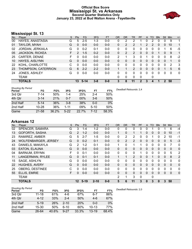#### **Official Box Score Mississippi St. vs Arkansas Second Quarter Statistics Only January 23, 2022 at Bud Walton Arena - Fayetteville**



### **Mississippi St. 13**

| No. | Plaver                 | S  | <b>Pts</b> | FG.     | 3FG     | <b>FT</b> | <b>OR</b>    | <b>DR</b>    | <b>TR</b>      | PF | A             | TO       | <b>Blk</b> | <b>Stl</b> | Min | $+/-$        |
|-----|------------------------|----|------------|---------|---------|-----------|--------------|--------------|----------------|----|---------------|----------|------------|------------|-----|--------------|
| 00  | HAYES, ANASTASIA       | G  | 5          | $2 - 5$ | 1-3     | $0 - 0$   | 0            | 2            | 2              |    | 0             | 2        | 0          | 0          | -9  | 1            |
| 01  | TAYLOR, MYAH           | G  | $\Omega$   | $0 - 0$ | $0 - 0$ | $0-0$     | $\mathbf{0}$ | 2            | 2              |    | $\mathcal{P}$ | 2        | 0          | $\Omega$   | 10  | 1            |
| 02  | JORDAN, JERKAILA       | G  | 0          | $0 - 2$ | $0 - 1$ | $0-0$     | $\Omega$     | 0            | 0              | 0  | 0             | 0        | 0          |            | 6   | -5           |
| 05  | <b>JACKSON, RICKEA</b> | F. | 2          | $1 - 5$ | $0 - 2$ | $0-0$     | $\Omega$     | 2            | $\overline{2}$ | 0  | $\mathbf{0}$  | $\Omega$ | 1          | $\Omega$   | 9   | 1            |
| 25  | CARTER, DENAE          | F  | 0          | $0 - 0$ | $0-0$   | $0-0$     | 2            |              | 3              | 0  |               | 0        | 0          | 0          | 8   | $-2$         |
| 10  | <b>HAYES, AISLYNN</b>  | G  | 0          | $0 - 0$ | $0 - 0$ | $0 - 0$   | 0            | 0            | 0              | 0  | 0             | $\Omega$ | 0          | $\Omega$   |     | $\mathbf{0}$ |
| 22  | KOHL, CHARLOTTE        | С  | 0          | $0-0$   | $0 - 0$ | $0-0$     | 0            | 0            | 0              | 0  | 0             | 0        | 0          | 0          | 2   | 3            |
| 23  | THOMPSON, CATERRION    | G  | 6          | $2 - 2$ | $2 - 2$ | $0 - 0$   |              |              | $\overline{2}$ | 0  | $\Omega$      | $\Omega$ | 0          |            | 5   | - 6          |
| 24  | JONES, ASHLEY          | G  | 0          | $0 - 0$ | $0-0$   | $0-0$     | 0            | 0            | $\Omega$       | 0  | 0             | $\Omega$ | 0          | 0          | 0   | $\mathbf{0}$ |
|     | <b>TEAM</b>            |    |            |         |         |           | 0            | $\mathbf{0}$ | 0              | 0  |               | 0        |            |            |     |              |
|     | <b>TOTALS</b>          |    | 13         | $5-14$  | $3 - 8$ | $0 - 0$   | 3            | 8            | 11             | 2  | 3             | 4        | 1          | 2          | 50  |              |

| <b>Shooting By Period</b><br>Period | FG        | FG%   | 3FG      | 3FG%  | FТ       | FT%   | Deadball Rebounds: 2,4 |
|-------------------------------------|-----------|-------|----------|-------|----------|-------|------------------------|
| 3rd Qtr                             | 7-14      | 50%   | $1 - 4$  | 25%   | $2 - 4$  | 50%   |                        |
| 4th Qtr                             | $3 - 14$  | 21%   | $0 - 7$  | 00%   | $3-6$    | 50%   |                        |
| 2nd Half                            | $5 - 14$  | 36%   | $3 - 8$  | 38%   | $0 - 0$  | 0%    |                        |
| 2nd Half                            | $10 - 28$ | 36%   | $1 - 11$ | 09%   | $5 - 10$ | 50%   |                        |
| Game                                | 21-58     | 36.2% | $5-22$   | 22.7% | 7-12     | 58.3% |                        |

### **Arkansas 12**

| No. | Player                      | S  | Pts            | <b>FG</b> | 3FG      | <b>FT</b> | 0R           | <b>DR</b> | <b>TR</b>      | PF | A            | TO       | <b>B</b> lk | Stl          | Min            | $+/-$          |
|-----|-----------------------------|----|----------------|-----------|----------|-----------|--------------|-----------|----------------|----|--------------|----------|-------------|--------------|----------------|----------------|
| 02  | SPENCER, SAMARA             | G  | 3              | 1-4       | $1 - 2$  | $0 - 0$   | 0            | 0         | 0              | 0  | 0            |          |             |              | 6              | $-4$           |
| 13  | GOFORTH, SASHA              | G  | 2              | $1 - 2$   | $0 - 0$  | $0 - 0$   | 1            | $\Omega$  | 1.             |    | 0            | $\Omega$ | 0           | $\Omega$     | 10             | $-1$           |
| 23  | RAMIREZ, AMBER              | G  | 5              | $2 - 7$   | $1 - 5$  | $0 - 0$   | 0            | 2         | 2              | 0  | 0            |          | 0           | 2            | 10             | $-1$           |
| 24  | <b>WOLFENBARGER, JERSEY</b> | G  | $\Omega$       | $0 - 2$   | $0 - 1$  | $0 - 0$   | $\mathbf{0}$ | 2         | $\overline{2}$ | 0  | $\mathbf{0}$ | 0        | 0           | 0            | 5              | $-3$           |
| 43  | DANIELS, MAKAYLA            | G  | $\overline{2}$ | $1 - 2$   | $0 - 1$  | $0 - 0$   | 1            | 0         | 1              |    | 0            | 0        | 0           | $\Omega$     |                | 0              |
| 03  | EATON, ELAUNA               | G  | 0              | $0 - 0$   | $0 - 0$  | $0 - 0$   | $\mathbf{0}$ | 0         | 0              | 0  | $\mathbf{0}$ | $\Omega$ | 0           | $\mathbf{0}$ | 0              | 0              |
| 04  | <b>BARNUM, ERYNN</b>        | F  | 0              | $0 - 1$   | $0 - 0$  | $0 - 0$   | 0            | 0         | 0              |    | 0            | 0        | 0           | 0            | 5              | 2              |
| 11  | LANGERMAN, RYLEE            | G  | 0              | $0 - 1$   | $0 - 1$  | $0 - 0$   |              |           | $\overline{2}$ | 0  | $\mathbf{0}$ |          | 0           | $\mathbf{0}$ | 8              | $\overline{2}$ |
| 15  | SAGE, ASHLYN                | G  | 0              | $0 - 0$   | $0 - 0$  | $0 - 0$   | 0            | 0         | 0              | 0  | 0            | 0        | 0           | $\Omega$     | $\Omega$       | 0              |
| 22  | <b>HUGHES, AVERY</b>        | G  | 0              | $0 - 0$   | $0 - 0$  | $0 - 0$   | $\Omega$     | 0         | 0              | 0  | $\mathbf{0}$ | $\Omega$ | $\Omega$    | $\Omega$     | $\Omega$       | $\mathbf 0$    |
| 25  | <b>OBERG, DESTINEE</b>      | C  | <sup>0</sup>   | $0 - 0$   | $0 - 0$  | $0 - 0$   | $\Omega$     | 0         | $\Omega$       | 0  | 0            | $\Omega$ | 0           | $\Omega$     | $\Omega$       | $\mathbf{0}$   |
| 55  | ELLIS, EMRIE                | F. | 0              | $0 - 0$   | $0 - 0$  | $0 - 0$   | $\mathbf{0}$ | $\Omega$  | 0              | 0  | $\Omega$     | $\Omega$ | $\Omega$    | $\Omega$     | $\overline{0}$ | $\mathbf{0}$   |
|     | <b>TEAM</b>                 |    |                |           |          |           | 2            | 1         | 3              | 0  |              | 0        |             |              |                |                |
|     | <b>TOTALS</b>               |    | 12             | $5-19$    | $2 - 10$ | $0 - 0$   | 5            | 6         | 11             | 3  | 0            | 3        | 0           | 3            | 50             |                |

| <b>Shooting By Period</b> |           |       |          |       |           |       |
|---------------------------|-----------|-------|----------|-------|-----------|-------|
| Period                    | FG        | FG%   | 3FG      | 3FG%  | FТ        | FT%   |
| 3rd Qtr                   | $11 - 18$ | 61%   | 4-6      | 67%   | 6-7       | 86%   |
| 4th Qtr                   | $4 - 12$  | 33%   | $2 - 4$  | 50%   | 4-6       | 67%   |
| 2nd Half                  | $5 - 19$  | 26%   | $2 - 10$ | 20%   | $0 - 0$   | 0%    |
| 2nd Half                  | 15-30     | 50%   | 6-10     | 60%   | $10 - 13$ | 77%   |
| Game                      | 26-64     | 40.6% | $9 - 27$ | 33.3% | $13 - 19$ | 68.4% |

*Deadball Rebounds:* 2,0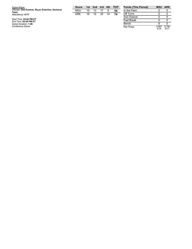| Game Notes:                                                | <b>Score</b> |    | 1st 2nd 3rd 4th |    | <b>TOT</b> | <b>Points (This Period)</b> |
|------------------------------------------------------------|--------------|----|-----------------|----|------------|-----------------------------|
| Officials: Dee Kantner, Bryan Enterline, Karleena<br>Tobin | <b>MSU</b>   | 15 | 13              |    | 54         | In the Paint                |
| Attendance: 4177                                           | ARK          | 16 | 12              | 32 | 74         | Off Turns                   |
|                                                            |              |    |                 |    |            | 2nd Chance                  |
| Start Time: 04:02 PM ET<br>End Time: 05:49 PM ET           |              |    |                 |    |            | <b>Fast Break</b>           |
| Game Duration: 1:46                                        |              |    |                 |    |            | Bench                       |
| Conference Game:                                           |              |    |                 |    |            | Per Poss                    |

 $\overline{0}$ 4 0 0 6 0 Per Poss 0.8 6 7 5 / 1 5 0.7 0 6 5 / 1 7

**Points (This Period) MSU ARK**

4

2

2

0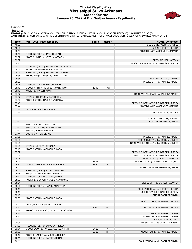### **Official Play-By-Play Mississippi St. vs Arkansas Second Quarter January 23, 2022 at Bud Walton Arena - Fayetteville**



#### **Period 2**

#### **Starters:**

**Mississippi St.**: 0 HAYES,ANASTASIA (G); 1 TAYLOR,MYAH (G); 2 JORDAN,JERKAILA (G); 5 JACKSON,RICKEA (F); 25 CARTER,DENAE (F);<br>**Arkansas**: 2 SPENCER,SAMARA (G); 13 GOFORTH,SASHA (G); 23 RAMIREZ,AMBER (G); 24 WOLFENBARGER,J

| Time           | <b>VISITORS: Mississippi St.</b>                                   | <b>Score</b> | <b>Margin</b>            | <b>HOME: Arkansas</b>                   |
|----------------|--------------------------------------------------------------------|--------------|--------------------------|-----------------------------------------|
| 10:00          |                                                                    |              |                          | SUB OUT: LANGERMAN, RYLEE               |
| 10:00          |                                                                    |              |                          | SUB IN: GOFORTH, SASHA                  |
| 09:43          |                                                                    |              |                          | MISSED LAYUP by SPENCER, SAMARA         |
| 09:40          | REBOUND (DEF) by TAYLOR, MYAH                                      |              |                          |                                         |
| 09:37          | MISSED LAYUP by HAYES, ANASTASIA                                   |              |                          |                                         |
| 09:37          |                                                                    |              |                          | REBOUND (DEF) by TEAM                   |
| 09:16          |                                                                    |              |                          | MISSED JUMPER by WOLFENBARGER, JERSEY   |
| 09:11          | REBOUND (DEF) by THOMPSON, CATERRION                               |              |                          |                                         |
| 08:47          | MISSED 3PTR by HAYES, ANASTASIA                                    |              |                          |                                         |
| 08:43          | REBOUND (OFF) by THOMPSON, CATERRION                               |              |                          |                                         |
| 08:34          | TURNOVER (BADPASS) by TAYLOR, MYAH                                 |              |                          |                                         |
| 08:34          |                                                                    |              |                          | STEAL by SPENCER, SAMARA                |
| 08:28<br>08:24 |                                                                    |              |                          | MISSED 3PTR by RAMIREZ, AMBER           |
| 08:18          | REBOUND (DEF) by TAYLOR, MYAH<br>GOOD! 3PTR by THOMPSON, CATERRION | $16-18$      | V <sub>2</sub>           |                                         |
| 08:18          | ASSIST by TAYLOR, MYAH                                             |              |                          |                                         |
| 07:57          |                                                                    |              |                          | TURNOVER (BADPASS) by RAMIREZ, AMBER    |
| 07:57          | STEAL by THOMPSON, CATERRION                                       |              |                          |                                         |
| 07:52          | MISSED 3PTR by HAYES, ANASTASIA                                    |              |                          |                                         |
| 07:48          |                                                                    |              |                          | REBOUND (DEF) by WOLFENBARGER, JERSEY   |
| 07:44          |                                                                    |              |                          | MISSED LAYUP by SPENCER, SAMARA         |
| 07:44          | BLOCK by JACKSON, RICKEA                                           |              |                          |                                         |
| 07:44          |                                                                    |              |                          | REBOUND (OFF) by TEAM                   |
| 07:41          |                                                                    |              |                          |                                         |
| 07:41          |                                                                    |              |                          | SUB OUT: SPENCER, SAMARA                |
| 07:41          |                                                                    |              |                          | SUB IN: LANGERMAN, RYLEE                |
| 07:41          | SUB OUT: KOHL, CHARLOTTE                                           |              |                          |                                         |
| 07:41          | SUB OUT: THOMPSON, CATERRION                                       |              |                          |                                         |
| 07:41          | SUB IN: JORDAN, JERKAILA                                           |              |                          |                                         |
| 07:41          | SUB IN: CARTER, DENAE                                              |              |                          |                                         |
| 07:35          |                                                                    |              |                          | MISSED 3PTR by RAMIREZ, AMBER           |
| 07:30          |                                                                    |              |                          | REBOUND (OFF) by LANGERMAN, RYLEE       |
| 07:25          |                                                                    |              |                          | TURNOVER (LOSTBALL) by LANGERMAN, RYLEE |
| 07:25          | STEAL by JORDAN, JERKAILA                                          |              |                          |                                         |
| 07:10          | MISSED 3PTR by JACKSON, RICKEA                                     |              |                          |                                         |
| 07:07          |                                                                    |              |                          | REBOUND (DEF) by WOLFENBARGER, JERSEY   |
| 07:02          |                                                                    |              |                          | MISSED 3PTR by WOLFENBARGER, JERSEY     |
| 06:59          |                                                                    |              |                          | REBOUND (OFF) by DANIELS, MAKAYLA       |
| 06:47<br>06:30 |                                                                    | $18-18$      | $\top$<br>V <sub>2</sub> | GOOD! LAYUP by DANIELS, MAKAYLA [PNT]   |
|                | GOOD! JUMPER by JACKSON, RICKEA                                    | 18-20        |                          |                                         |
| 06:11<br>06:07 | REBOUND (DEF) by HAYES, ANASTASIA                                  |              |                          | MISSED 3PTR by LANGERMAN, RYLEE         |
| 05:44          | MISSED 3PTR by JORDAN, JERKAILA                                    |              |                          |                                         |
| 05:42          | REBOUND (OFF) by CARTER, DENAE                                     |              |                          |                                         |
| 05:39          | FOUL (PERSONAL) by HAYES, ANASTASIA                                |              |                          |                                         |
| 05:24          |                                                                    |              |                          | MISSED 3PTR by DANIELS, MAKAYLA         |
| 05:20          | REBOUND (DEF) by HAYES, ANASTASIA                                  |              |                          |                                         |
| 05:19          |                                                                    |              |                          | FOUL (PERSONAL) by GOFORTH, SASHA       |
| 05:19          |                                                                    |              |                          | SUB OUT: WOLFENBARGER, JERSEY           |
| 05:19          |                                                                    |              |                          | SUB IN: BARNUM, ERYNN                   |
| 05:06          | MISSED 3PTR by JACKSON, RICKEA                                     |              |                          |                                         |
| 05:01          |                                                                    |              |                          | REBOUND (DEF) by RAMIREZ, AMBER         |
| 04:51          | FOUL (PERSONAL) by TAYLOR, MYAH                                    |              |                          |                                         |
| 04:41          |                                                                    | $21 - 20$    | H <sub>1</sub>           | GOOD! 3PTR by RAMIREZ, AMBER            |
| 04:17          | TURNOVER (BADPASS) by HAYES, ANASTASIA                             |              |                          |                                         |
| 04:17          |                                                                    |              |                          | STEAL by RAMIREZ, AMBER                 |
| 04:12          |                                                                    |              |                          | MISSED 3PTR by RAMIREZ, AMBER           |
| 04:11          |                                                                    |              |                          | REBOUND (OFF) by TEAM                   |
| 04:06          |                                                                    |              |                          | MISSED LAYUP by GOFORTH, SASHA          |
| 04:03          | REBOUND (DEF) by JACKSON, RICKEA                                   |              |                          |                                         |
| 03:54          | GOOD! LAYUP by HAYES, ANASTASIA [PNT]                              | 21-22        | V <sub>1</sub>           |                                         |
| 03:36          |                                                                    | 23-22        | H <sub>1</sub>           | GOOD! JUMPER by RAMIREZ, AMBER          |
| 03:12          | MISSED JUMPER by JACKSON, RICKEA                                   |              |                          |                                         |
| 03:11          | REBOUND (OFF) by CARTER, DENAE                                     |              |                          |                                         |
| 03:11          |                                                                    |              |                          | FOUL (PERSONAL) by BARNUM, ERYNN        |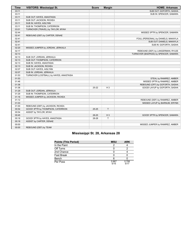| <b>Time</b> | <b>VISITORS: Mississippi St.</b>        | <b>Score</b> | <b>Margin</b> | <b>HOME: Arkansas</b>                 |
|-------------|-----------------------------------------|--------------|---------------|---------------------------------------|
| 03:11       |                                         |              |               | SUB OUT: GOFORTH, SASHA               |
| 03:11       |                                         |              |               | SUB IN: SPENCER, SAMARA               |
| 03:11       | SUB OUT: HAYES, ANASTASIA               |              |               |                                       |
| 03:11       | SUB OUT: JACKSON, RICKEA                |              |               |                                       |
| 03:11       | SUB IN: HAYES, AISLYNN                  |              |               |                                       |
| 03:11       | SUB IN: THOMPSON, CATERRION             |              |               |                                       |
| 03:01       | TURNOVER (TRAVEL) by TAYLOR, MYAH       |              |               |                                       |
| 02:44       |                                         |              |               | MISSED 3PTR by SPENCER, SAMARA        |
| 02:41       | REBOUND (DEF) by CARTER, DENAE          |              |               |                                       |
| 02:41       |                                         |              |               | FOUL (PERSONAL) by DANIELS, MAKAYLA   |
| 02:41       |                                         |              |               | SUB OUT: DANIELS, MAKAYLA             |
| 02:41       |                                         |              |               | SUB IN: GOFORTH, SASHA                |
| 02:20       | MISSED JUMPER by JORDAN, JERKAILA       |              |               |                                       |
| 02:17       |                                         |              |               | REBOUND (DEF) by LANGERMAN, RYLEE     |
| 02:13       |                                         |              |               | TURNOVER (BADPASS) by SPENCER, SAMARA |
| 02:13       | SUB OUT: JORDAN, JERKAILA               |              |               |                                       |
| 02:13       | SUB OUT: THOMPSON, CATERRION            |              |               |                                       |
| 02:13       | SUB IN: HAYES, ANASTASIA                |              |               |                                       |
| 02:13       | SUB IN: JACKSON, RICKEA                 |              |               |                                       |
| 02:07       | SUB OUT: HAYES, AISLYNN                 |              |               |                                       |
| 02:07       | SUB IN: JORDAN, JERKAILA                |              |               |                                       |
| 01:53       | TURNOVER (LOSTBALL) by HAYES, ANASTASIA |              |               |                                       |
| 01:53       |                                         |              |               | STEAL by RAMIREZ, AMBER               |
| 01:46       |                                         |              |               | MISSED 3PTR by RAMIREZ, AMBER         |
| 01:36       |                                         |              |               | REBOUND (OFF) by GOFORTH, SASHA       |
| 01:36       |                                         | $25 - 22$    | $H_3$         | GOOD! LAYUP by GOFORTH, SASHA         |
| 01:29       | SUB OUT: JORDAN, JERKAILA               |              |               |                                       |
| 01:29       | SUB IN: THOMPSON, CATERRION             |              |               |                                       |
| 01:16       | MISSED JUMPER by JACKSON, RICKEA        |              |               |                                       |
| 01:12       |                                         |              |               | REBOUND (DEF) by RAMIREZ, AMBER       |
| 01:03       |                                         |              |               | MISSED LAYUP by BARNUM, ERYNN         |
| 01:00       | REBOUND (DEF) by JACKSON, RICKEA        |              |               |                                       |
| 00:54       | GOOD! 3PTR by THOMPSON, CATERRION       | $25 - 25$    | T             |                                       |
| 00:54       | ASSIST by TAYLOR, MYAH                  |              |               |                                       |
| 00:45       |                                         | 28-25        | $H_3$         | GOOD! 3PTR by SPENCER, SAMARA         |
| 00:18       | GOOD! 3PTR by HAYES, ANASTASIA          | 28-28        | T             |                                       |
| 00:18       | ASSIST by CARTER, DENAE                 |              |               |                                       |
| 00:00       |                                         |              |               | MISSED JUMPER by RAMIREZ, AMBER       |
| 00:00       | REBOUND (DEF) by TEAM                   |              |               |                                       |

### **Mississippi St. 28, Arkansas 28**

| <b>Points (This Period)</b> | <b>MSU</b>    | <b>ARK</b>    |
|-----------------------------|---------------|---------------|
| In the Paint                |               |               |
| Off Turns                   |               |               |
| 2nd Chance                  |               |               |
| <b>Fast Break</b>           |               |               |
| Bench                       |               |               |
| Per Poss                    | 0.867<br>5/15 | 0.706<br>5/17 |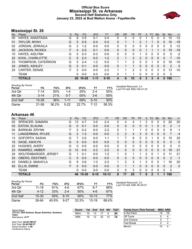### **Official Box Score Mississippi St. vs Arkansas Second Half Statistics Only January 23, 2022 at Bud Walton Arena - Fayetteville**



### **Mississippi St. 26**

| No. | Plaver                 | S  | <b>Pts</b> | FG        | 3FG      | <b>FT</b> | <b>OR</b> | DR       | TR | PF            | A | TO       | <b>B</b> lk | Stl | <b>Min</b> | $+/-$        |
|-----|------------------------|----|------------|-----------|----------|-----------|-----------|----------|----|---------------|---|----------|-------------|-----|------------|--------------|
| 00  | HAYES, ANASTASIA       | G  | 8          | $3-5$     | $0 - 1$  | $2 - 4$   | 0         | 0        | 0  |               |   | 0        |             | 0   | 15         | $-12$        |
| 01  | TAYLOR, MYAH           | G  | $\Omega$   | $0 - 5$   | $0 - 4$  | $0 - 2$   | 0         |          |    | $\mathcal{P}$ |   |          | 0           | 0   | 16         | -19          |
| 02  | JORDAN, JERKAILA       | G  | 2          | $1 - 2$   | $0 - 0$  | $0 - 0$   | 0         | 0        | 0  | $\Omega$      | 0 | 0        | 0           | 0   | 5          | $-12$        |
| 05  | <b>JACKSON, RICKEA</b> | F. | 4          | $2 - 5$   | $0 - 1$  | $0 - 0$   | 0         | 0        | 0  | 0             |   |          |             | 0   | 19         | $-19$        |
| 10  | HAYES, AISLYNN         | G  | 0          | $0 - 3$   | $0 - 3$  | $0 - 0$   | 0         | $\Omega$ | 0  | 1             | 0 | 0        | 0           | 0   | 5          | $-2$         |
| 22  | KOHL, CHARLOTTE        | С  | 5          | $2 - 3$   | $0 - 0$  | $1 - 2$   | 2         |          | 3  | 2             | 0 | 0        | 0           | 0   |            | $-10$        |
| -23 | THOMPSON, CATERRION    | G  | 5          | $2 - 4$   | $1 - 2$  | $0 - 0$   |           |          | 2  | 0             | 0 |          | 0           | 0   | 18         | -16          |
| 24  | <b>JONES, ASHLEY</b>   | G  | $\Omega$   | $0 - 1$   | $0 - 0$  | $0 - 0$   | 0         |          |    | 0             | 0 | $\Omega$ | $\Omega$    | 0   | 2          | $\mathbf{0}$ |
| 25  | CARTER, DENAE          | F. | 2          | $0 - 0$   | $0 - 0$  | $2 - 2$   |           |          | 2  | 3             | 0 | $\Omega$ | 3           | 0   | 13         | $-10$        |
|     | <b>TEAM</b>            |    | 0          | $0 - 0$   | $0 - 0$  | $0 - 0$   | 0         |          | 1  | $\Omega$      | 0 | 0        | $\Omega$    | 0   | 0          |              |
|     | <b>TOTALS</b>          |    | 26         | $10 - 28$ | $1 - 11$ | $5 - 10$  |           | 6        | 10 | 8             | 3 | 3        |             | 0   | 100        |              |

| <b>Shooting By Period</b><br>Period | FG        | FG%   | 3FG      | 3FG%   | FT       | FT%   | Deadball Rebounds: 2,4<br>Last FG Half: MSU 4th-01:25 |
|-------------------------------------|-----------|-------|----------|--------|----------|-------|-------------------------------------------------------|
| 3rd Otr                             | 7-14      | 50%   | 1-4      | 25%    | $2 - 4$  | 50%   |                                                       |
| 4th Qtr                             | $3 - 14$  | 21%   | $0 - 7$  | $00\%$ | $3-6$    | 50%   |                                                       |
| 2nd Half                            | $10 - 28$ | 36%   | $1 - 11$ | 09%    | $5 - 10$ | 50%   |                                                       |
| Game                                | 21-58     | 36.2% | $5-22$   | 22.7%  | 7-12     | 58.3% |                                                       |

### **Arkansas 46**

| No. | Player                      | S | <b>Pts</b>      | <b>FG</b> | 3FG      | <b>FT</b> | <b>OR</b>      | D <sub>R</sub> | TR           | <b>PF</b> | A        | TO           | <b>BIK</b>   | Stl      | Min            | $+/-$          |
|-----|-----------------------------|---|-----------------|-----------|----------|-----------|----------------|----------------|--------------|-----------|----------|--------------|--------------|----------|----------------|----------------|
| 02  | SPENCER, SAMARA             | G | 13 <sup>7</sup> | $4 - 7$   | $3 - 5$  | $2 - 4$   | 0              | 4              | 4            |           | 3        | 0            | 0            | 0        | 20             | 20             |
| 03  | <b>EATON, ELAUNA</b>        | G | 0               | $0 - 1$   | $0 - 0$  | $0 - 0$   | 0              | 0              | $\mathbf{0}$ | 0         | 0        |              | 0            | 0        | 2              | $-1$           |
| 04  | <b>BARNUM, ERYNN</b>        | F | 2               | $0 - 2$   | $0 - 0$  | $2 - 2$   | 0              |                |              |           | 0        | 0            | $\mathbf{0}$ | 0        | 6              | $-1$           |
| 11  | LANGERMAN, RYLEE            | G | $\mathcal{P}$   | $1 - 3$   | $0 - 0$  | $0 - 0$   | $\overline{2}$ | 2              | 4            | 3         | $\Omega$ | 0            | $\mathbf{0}$ | 0        | $\overline{7}$ | $-4$           |
| 13  | GOFORTH, SASHA              | G | 7               | $3-5$     | $0 - 0$  | $1 - 1$   | 1              |                | 8            | 0         | 0        |              | $\Omega$     | $\Omega$ | 15             | 25             |
| 15  | SAGE, ASHLYN                | G | 0               | $0 - 0$   | $0 - 0$  | $0 - 0$   | 0              | 0              | $\mathbf{0}$ | 0         | 0        | 0            | $\mathbf{0}$ | 0        | $\Omega$       | $\Omega$       |
| 22  | <b>HUGHES, AVERY</b>        | G | 0               | $0 - 0$   | $0 - 0$  | $0 - 0$   | 0              | $\mathbf{0}$   | $\Omega$     | $\Omega$  | 0        | 0            | $\Omega$     | 0        | $\Omega$       | $\mathbf 0$    |
| 23  | RAMIREZ, AMBER              | G | 12              | $4 - 5$   | $2 - 2$  | $2 - 2$   | $\Omega$       | 0              | $\mathbf{0}$ | 0         | 0        | 0            | $\mathbf{0}$ | $\Omega$ | 18             | 21             |
| 24  | <b>WOLFENBARGER, JERSEY</b> | G | 1               | $0 - 1$   | $0 - 0$  | $1 - 2$   | 1              | $\Omega$       | 1            |           | 2        | 0            |              | 0        | 11             | 21             |
| 25  | <b>OBERG, DESTINEE</b>      | C | 0               | $0 - 0$   | $0 - 0$  | $0 - 0$   | 0              | 0              | $\mathbf{0}$ | 0         | 0        | 0            | $\Omega$     | $\Omega$ | 2              | $-1$           |
| 43  | DANIELS, MAKAYLA            | G | 9               | $3-6$     | $1 - 3$  | $2 - 2$   | 1              | $\mathcal{P}$  | 3            |           | 3        | 0            | $\Omega$     |          | 16             | 20             |
| 55  | ELLIS, EMRIE                | F | 0               | $0 - 0$   | $0 - 0$  | $0 - 0$   | $\Omega$       |                |              | 0         | $\Omega$ | $\Omega$     | $\Omega$     | $\Omega$ | 2              | $\overline{0}$ |
|     | <b>TEAM</b>                 |   | 0               | $0 - 0$   | $0 - 0$  | $0 - 0$   | 3              | $\Omega$       | 3            | 0         | 0        | 0            | $\Omega$     | 0        | 0              |                |
|     | <b>TOTALS</b>               |   | 46              | 15-30     | $6 - 10$ | $10 - 13$ | 8              | 17             | 25           |           | 8        | $\mathbf{2}$ |              |          | 100            |                |

| <b>Shooting By Period</b><br>Period | FG    | FG%   | 3FG      | 3FG%  | FT        | FT%        |
|-------------------------------------|-------|-------|----------|-------|-----------|------------|
| 3rd Otr                             | 11-18 | 61%   | 4-6      | 67%   | 6-7       | 86%        |
| 4th Otr                             | 4-12  | 33%   | $2 - 4$  | 50%   | 4-6       | 67%        |
| 2nd Half                            | 15-30 | 50%   | $6-10$   | 60%   | $10 - 13$ | <b>77%</b> |
| Game                                | 26-64 | 40.6% | $9 - 27$ | 33.3% | $13 - 19$ | 68.4%      |

*Deadball Rebounds:* 2,0 *Last FG Half:* ARK 4th-00:57

| Game Notes:                                       | <b>Score</b> | 1st | 2nd | 3rd | 4th | <b>TOT</b> | <b>Points from (This Period)</b> | <b>MSU ARK</b> |  |
|---------------------------------------------------|--------------|-----|-----|-----|-----|------------|----------------------------------|----------------|--|
| Officials: Dee Kantner, Bryan Enterline, Karleena | MSU          | 15  |     |     |     | 54         | In the Paint                     |                |  |
| <b>Tobin</b><br>Attendance: 4177                  | ARK          | 16  |     | 32  | 14  | 74         | Off Turns                        |                |  |
|                                                   |              |     |     |     |     |            | 2nd Chance                       |                |  |
| Start Time: 04:02 PM ET<br>End Time: 05:49 PM ET  |              |     |     |     |     |            | <b>Fast Break</b>                |                |  |
| Game Duration: 1:46                               |              |     |     |     |     |            | Bench                            |                |  |

Game Duration: **1:46** Conference Game;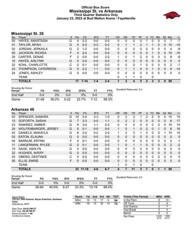### **Official Box Score Mississippi St. vs Arkansas Third Quarter Statistics Only January 23, 2022 at Bud Walton Arena - Fayetteville**



### **Mississippi St. 26**

| No. | Player                 | S  | <b>Pts</b> | <b>FG</b> | 3FG     | <b>FT</b> | <b>OR</b>    | <b>DR</b> | <b>TR</b>    | PF | A        | TO       | <b>Blk</b> | <b>Stl</b> | Min | $+/-$          |
|-----|------------------------|----|------------|-----------|---------|-----------|--------------|-----------|--------------|----|----------|----------|------------|------------|-----|----------------|
| 00  | HAYES, ANASTASIA       | G  | 4          | $2 - 2$   | $0 - 0$ | $0-0$     | 0            | 0         | 0            | 0  |          | 0        | 0          | 0          |     | $-7$           |
| 01  | TAYLOR, MYAH           | G  | 0          | $0 - 3$   | $0 - 3$ | $0 - 2$   | 0            |           |              | 2  |          |          | 0          | $\Omega$   | 10  | $-15$          |
| 02  | JORDAN, JERKAILA       | G  | 2          | $1 - 2$   | $0 - 0$ | $0 - 0$   | $\Omega$     | 0         | 0            | 0  | 0        | 0        | 0          | 0          | 4   | -9             |
| 05  | <b>JACKSON, RICKEA</b> | F. | 4          | $2 - 4$   | $0 - 0$ | $0 - 0$   | $\Omega$     | 0         | $\mathbf{0}$ | 0  | $\Omega$ |          | 0          | 0          | 10  | $-15$          |
| 25  | CARTER, DENAE          | F  | 2          | $0 - 0$   | $0-0$   | $2 - 2$   | 1            | 0         | 1            | 2  | 0        | 0        | 3          | 0          | 8   | -8             |
| 10  | <b>HAYES, AISLYNN</b>  | G  | $\Omega$   | $0 - 0$   | $0 - 0$ | $0-0$     | $\mathbf{0}$ | 0         | $\mathbf{0}$ | 0  | 0        | $\Omega$ | 0          | $\Omega$   | 0   | $\mathbf{0}$   |
| 22  | KOHL, CHARLOTTE        | С  | 0          | $0 - 1$   | $0 - 0$ | $0-0$     | 0            | 0         | 0            |    | 0        | 0        | 0          | 0          | 2   | $-7$           |
| 23  | THOMPSON, CATERRION    | G  | 5          | $2 - 2$   | 1-1     | $0 - 0$   | 0            |           |              | 0  | 0        |          | 0          | $\Omega$   | 9   | $-14$          |
| 24  | <b>JONES, ASHLEY</b>   | G  | 0          | $0 - 0$   | $0 - 0$ | $0 - 0$   | $\Omega$     | 0         | $\Omega$     | 0  | $\Omega$ | $\Omega$ | 0          | 0          | 0   | $\overline{0}$ |
|     | TEAM                   |    |            |           |         |           | 0            |           | 1            | 0  |          | 0        |            |            |     |                |
|     | <b>TOTALS</b>          |    | 17         | 7-14      | $1 - 4$ | $2 - 4$   |              | 3         | 4            | 5  | 2        | 3        | 3          | $\Omega$   | 50  |                |

| <b>Shooting By Period</b><br>Period | FG    | FG%   | 3FG    | 3FG%  |      | FT%   | Deadball Rebounds: 2,4 |
|-------------------------------------|-------|-------|--------|-------|------|-------|------------------------|
| 2nd Half                            | 0-0   | 0%    | ი-ი    | 0%    | 0-0  | 0%    |                        |
| Game                                | 21-58 | 36.2% | $5-22$ | 22.7% | 7-12 | 58.3% |                        |

### **Arkansas 46**

| No. | Plaver                      | S  | Pts | FG        | 3FG     | <b>FT</b> | <b>OR</b> | <b>DR</b>      | TR             | PF | A            | TO       | <b>Blk</b> | Stl      | Min          | $+/-$          |
|-----|-----------------------------|----|-----|-----------|---------|-----------|-----------|----------------|----------------|----|--------------|----------|------------|----------|--------------|----------------|
| 02  | SPENCER, SAMARA             | G  | 10  | $3 - 4$   | $3 - 3$ | $1 - 2$   | 0         | 3              | 3              |    | 2            | 0        | 0          | 0        | 10           | 15             |
| 13  | GOFORTH, SASHA              | G  |     | $3 - 3$   | $0 - 0$ | $1 - 1$   | $\Omega$  | 2              | $\overline{2}$ | 0  | 0            | 0        | 0          | $\Omega$ | 8            | 17             |
| 23  | RAMIREZ, AMBER              | G  | 9   | $3 - 4$   | $1 - 1$ | $2 - 2$   | 0         | 0              | $\Omega$       | 0  | 0            | $\Omega$ | 0          | 0        | 10           | 15             |
| 24  | <b>WOLFENBARGER, JERSEY</b> | G  | 0   | $0 - 1$   | $0 - 0$ | $0 - 0$   | 1         | 0              | 1              | 0  | 2            | $\Omega$ |            | $\Omega$ | 8            | 16             |
| 43  | DANIELS, MAKAYLA            | G  | 6   | $2 - 4$   | $0 - 2$ | $2 - 2$   | 1         | $\overline{2}$ | 3              |    | 3            | $\Omega$ | 0          |          | 10           | 15             |
| 03  | <b>EATON, ELAUNA</b>        | G  | 0   | $0 - 0$   | $0 - 0$ | $0-0$     | $\Omega$  | 0              | 0              | 0  | $\mathbf{0}$ | $\Omega$ | $\Omega$   | $\Omega$ | 0            | $\overline{0}$ |
| 04  | <b>BARNUM, ERYNN</b>        | F  | 0   | $0 - 1$   | $0 - 0$ | $0 - 0$   | $\Omega$  | 0              | $\Omega$       | 0  | 0            | $\Omega$ | 0          | 0        | 2            | $-1$           |
| 11  | LANGERMAN, RYLEE            | G  | 0   | $0 - 1$   | $0 - 0$ | $0 - 0$   | 1         | 0              | 1              |    | 0            | $\Omega$ | $\Omega$   | $\Omega$ | 2            | $-2$           |
| 15  | SAGE, ASHLYN                | G  | 0   | $0 - 0$   | $0 - 0$ | $0 - 0$   | 0         | 0              | $\Omega$       | 0  | 0            | $\Omega$ | 0          | $\Omega$ | $\Omega$     | 0              |
| 22  | <b>HUGHES, AVERY</b>        | G  | 0   | $0 - 0$   | $0 - 0$ | $0 - 0$   | $\Omega$  | 0              | $\mathbf{0}$   | 0  | $\Omega$     | $\Omega$ | $\Omega$   | $\Omega$ | 0            | $\Omega$       |
| 25  | <b>OBERG, DESTINEE</b>      | C  | 0   | $0 - 0$   | $0 - 0$ | $0 - 0$   | 0         | 0              | $\Omega$       | 0  | 0            | 0        | 0          | $\Omega$ | $\Omega$     | 0              |
| 55  | ELLIS, EMRIE                | F. | 0   | $0 - 0$   | $0 - 0$ | $0 - 0$   | $\Omega$  | $\Omega$       | 0              | 0  | $\mathbf{0}$ | $\Omega$ | $\Omega$   | $\Omega$ | $\mathbf{0}$ | $\mathbf{0}$   |
|     | <b>TEAM</b>                 |    |     |           |         |           | 1         | 0              | 1              | 0  |              | $\Omega$ |            |          |              |                |
|     | <b>TOTALS</b>               |    | 32  | $11 - 18$ | $4 - 6$ | $6 - 7$   | 4         |                | 11             | 3  |              | $\bf{0}$ |            |          | 50           |                |

| <b>Shooting By Period</b><br>Period | FG    | FG%   | 3FG      | 3FG%  |         | FT%   | Deadball Rebounds: 2,0 |
|-------------------------------------|-------|-------|----------|-------|---------|-------|------------------------|
| 2nd Half                            | 0-0   | 0%    | 0-0      | $0\%$ | 0-0     | 0%    |                        |
| Game                                | 26-64 | 40.6% | $9 - 27$ | 33.3% | $13-19$ | 68.4% |                        |

| Game Notes:                                                       | <b>Score</b> | 1st | 2nd | 3rd | 4th | <b>TOT</b> | <b>Points (This Period)</b> | <b>MSU</b>    | <b>ARK</b>     |
|-------------------------------------------------------------------|--------------|-----|-----|-----|-----|------------|-----------------------------|---------------|----------------|
| Officials: Dee Kantner, Bryan Enterline, Karleena<br><b>Tobin</b> | <b>MSU</b>   | 15  | 13  |     |     | 54         | In the Paint                |               | 14             |
| Attendance: 4177                                                  | ARK          | 16  | 12  | 32  | 14  | 74         | Off Turns                   |               |                |
|                                                                   |              |     |     |     |     |            | 2nd Chance                  |               |                |
| Start Time: 04:02 PM ET<br>End Time: 05:49 PM ET                  |              |     |     |     |     |            | <b>Fast Break</b>           |               |                |
| Game Duration: 1:46                                               |              |     |     |     |     |            | Bench                       |               |                |
| Conference Game:                                                  |              |     |     |     |     |            | Per Poss                    | 0.944<br>8/18 | 1.882<br>14/17 |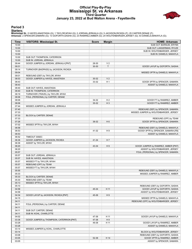#### **Official Play-By-Play Mississippi St. vs Arkansas Third Quarter January 23, 2022 at Bud Walton Arena - Fayetteville**



#### **Period 3**

#### **Starters:**

**Mississippi St.**: 0 HAYES,ANASTASIA (G); 1 TAYLOR,MYAH (G); 2 JORDAN,JERKAILA (G); 5 JACKSON,RICKEA (F); 25 CARTER,DENAE (F);<br>**Arkansas**: 2 SPENCER,SAMARA (G); 13 GOFORTH,SASHA (G); 23 RAMIREZ,AMBER (G); 24 WOLFENBARGER,J

| Time           | <b>VISITORS: Mississippi St.</b>                   | <b>Score</b> | <b>Margin</b>  | <b>HOME: Arkansas</b>                                  |
|----------------|----------------------------------------------------|--------------|----------------|--------------------------------------------------------|
| 10:00          |                                                    |              |                | SUB OUT: BARNUM, ERYNN                                 |
| 10:00          |                                                    |              |                | SUB OUT: LANGERMAN, RYLEE                              |
| 10:00          |                                                    |              |                | SUB IN: WOLFENBARGER, JERSEY                           |
| 10:00          |                                                    |              |                | SUB IN: DANIELS, MAKAYLA                               |
| 10:00          | SUB OUT: THOMPSON, CATERRION                       |              |                |                                                        |
| 10:00          | SUB IN: JORDAN, JERKAILA                           |              |                |                                                        |
| 09:44          | GOOD! JUMPER by JORDAN, JERKAILA [PNT]             | 28-30        | V <sub>2</sub> |                                                        |
| 09:31          |                                                    | 30-30        | $\mathsf{T}$   | GOOD! LAYUP by GOFORTH, SASHA                          |
| 09:14<br>09:04 | TURNOVER (BADPASS) by JACKSON, RICKEA              |              |                |                                                        |
| 09:01          | REBOUND (DEF) by TAYLOR, MYAH                      |              |                | MISSED 3PTR by DANIELS, MAKAYLA                        |
| 08:53          | GOOD! JUMPER by HAYES, ANASTASIA                   | 30-32        | V <sub>2</sub> |                                                        |
| 08:43          |                                                    | 33-32        | H <sub>1</sub> | GOOD! 3PTR by SPENCER, SAMARA                          |
| 08:43          |                                                    |              |                | ASSIST by DANIELS, MAKAYLA                             |
| 08:40          | SUB OUT: HAYES, ANASTASIA                          |              |                |                                                        |
| 08:40          | SUB IN: THOMPSON, CATERRION                        |              |                |                                                        |
| 08:19          | TURNOVER (TRAVEL) by TAYLOR, MYAH                  |              |                |                                                        |
| 08:06          | FOUL (PERSONAL) by CARTER, DENAE                   |              |                |                                                        |
| 08:06          |                                                    | 34-32        | H <sub>2</sub> | GOOD! FT by RAMIREZ, AMBER                             |
| 08:06          |                                                    | 35-32        | $H_3$          | GOOD! FT by RAMIREZ, AMBER                             |
| 07:44          | MISSED JUMPER by JORDAN, JERKAILA                  |              |                |                                                        |
| 07:40          |                                                    |              |                | REBOUND (DEF) by SPENCER, SAMARA                       |
| 07:33          |                                                    |              |                | MISSED JUMPER by WOLFENBARGER, JERSEY                  |
| 07:33          | BLOCK by CARTER, DENAE                             |              |                |                                                        |
| 07:33<br>07:26 |                                                    | 38-32        | H <sub>6</sub> | REBOUND (OFF) by TEAM<br>GOOD! 3PTR by SPENCER, SAMARA |
| 07:02          | MISSED 3PTR by TAYLOR, MYAH                        |              |                |                                                        |
| 06:58          |                                                    |              |                | REBOUND (DEF) by DANIELS, MAKAYLA                      |
| 06:53          |                                                    | 41-32        | H <sub>9</sub> | GOOD! 3PTR by SPENCER, SAMARA [FB]                     |
| 06:53          |                                                    |              |                | ASSIST by DANIELS, MAKAYLA                             |
| 06:52          | TIMEOUT 30SEC                                      |              |                |                                                        |
| 06:36          | GOOD! JUMPER by JACKSON, RICKEA                    | 41-34        | H 7            |                                                        |
| 06:36          | ASSIST by TAYLOR, MYAH                             |              |                |                                                        |
| 06:20          |                                                    | 43-34        | H9             | GOOD! JUMPER by RAMIREZ, AMBER [PNT]                   |
| 06:20          |                                                    |              |                | ASSIST by WOLFENBARGER, JERSEY                         |
| 05:57          |                                                    |              |                | FOUL (PERSONAL) by SPENCER, SAMARA                     |
| 05:57          | SUB OUT: JORDAN, JERKAILA                          |              |                |                                                        |
| 05:57          | SUB IN: HAYES, ANASTASIA                           |              |                |                                                        |
| 05:57<br>05:57 | MISSED FT by TAYLOR, MYAH<br>REBOUND (OFF) by TEAM |              |                |                                                        |
| 05:57          | MISSED FT by TAYLOR, MYAH                          |              |                |                                                        |
| 05:55          |                                                    |              |                | REBOUND (DEF) by DANIELS, MAKAYLA                      |
| 05:33          |                                                    |              |                | MISSED JUMPER by RAMIREZ, AMBER                        |
| 05:33          | BLOCK by CARTER, DENAE                             |              |                |                                                        |
| 05:30          | REBOUND (DEF) by TEAM                              |              |                |                                                        |
| 05:13          | MISSED 3PTR by TAYLOR, MYAH                        |              |                |                                                        |
| 05:10          |                                                    |              |                | REBOUND (DEF) by GOFORTH, SASHA                        |
| 04:58          |                                                    | 45-34        | H 11           | GOOD! LAYUP by GOFORTH, SASHA                          |
| 04:58          |                                                    |              |                | ASSIST by WOLFENBARGER, JERSEY                         |
| 04:34          | GOOD! LAYUP by JACKSON, RICKEA [PNT]               | 45-36        | H9             |                                                        |
| 04:15          |                                                    |              |                | MISSED 3PTR by DANIELS, MAKAYLA                        |
| 04:11          |                                                    |              |                | REBOUND (OFF) by WOLFENBARGER, JERSEY                  |
| 04:11<br>04:11 | FOUL (PERSONAL) by CARTER, DENAE                   |              |                |                                                        |
| 04:11          | SUB OUT: CARTER, DENAE                             |              |                |                                                        |
| 04:11          | SUB IN: KOHL, CHARLOTTE                            |              |                |                                                        |
| 04:02          |                                                    | 47-36        | H 11           | GOOD! LAYUP by DANIELS, MAKAYLA                        |
| 03:38          | GOOD! JUMPER by THOMPSON, CATERRION [PNT]          | 47-38        | H9             |                                                        |
| 03:28          |                                                    | 49-38        | H 11           | GOOD! LAYUP by RAMIREZ, AMBER                          |
| 03:28          |                                                    |              |                | ASSIST by DANIELS, MAKAYLA                             |
| 03:14          | MISSED JUMPER by KOHL, CHARLOTTE                   |              |                |                                                        |
| 03:14          |                                                    |              |                | BLOCK by WOLFENBARGER, JERSEY                          |
| 03:08          |                                                    |              |                | REBOUND (DEF) by GOFORTH, SASHA                        |
| 03:05          |                                                    | 52-38        | H 14           | GOOD! 3PTR by RAMIREZ, AMBER                           |
| 03:05          |                                                    |              |                | ASSIST by SPENCER, SAMARA                              |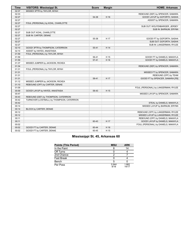| <b>Time</b> | <b>VISITORS: Mississippi St.</b>           | <b>Score</b> | <b>Margin</b> | <b>HOME: Arkansas</b>               |
|-------------|--------------------------------------------|--------------|---------------|-------------------------------------|
| 02:37       | MISSED 3PTR by TAYLOR, MYAH                |              |               |                                     |
| 02:33       |                                            |              |               | REBOUND (DEF) by SPENCER, SAMARA    |
| 02:27       |                                            | 54-38        | H 16          | GOOD! LAYUP by GOFORTH, SASHA       |
| 02:27       |                                            |              |               | ASSIST by SPENCER, SAMARA           |
| 02:27       | FOUL (PERSONAL) by KOHL, CHARLOTTE         |              |               |                                     |
| 02:27       |                                            |              |               | SUB OUT: WOLFENBARGER, JERSEY       |
| 02:27       |                                            |              |               | SUB IN: BARNUM, ERYNN               |
| 02:27       | SUB OUT: KOHL, CHARLOTTE                   |              |               |                                     |
| 02:27       | SUB IN: CARTER, DENAE                      |              |               |                                     |
| 02:27       |                                            | 55-38        | H 17          | GOOD! FT by GOFORTH, SASHA          |
| 02:27       |                                            |              |               | SUB OUT: GOFORTH, SASHA             |
| 02:27       |                                            |              |               | SUB IN: LANGERMAN, RYLEE            |
| 02:10       | GOOD! 3PTR by THOMPSON, CATERRION          | 55-41        | H 14          |                                     |
| 02:10       | ASSIST by HAYES, ANASTASIA                 |              |               |                                     |
| 01:59       | FOUL (PERSONAL) by TAYLOR, MYAH            |              |               |                                     |
| 01:59       |                                            | 56-41        | H 15          | GOOD! FT by DANIELS, MAKAYLA        |
| 01:59       |                                            | $57 - 41$    | H 16          | GOOD! FT by DANIELS, MAKAYLA        |
| 01:37       | MISSED JUMPER by JACKSON, RICKEA           |              |               |                                     |
| 01:34       |                                            |              |               | REBOUND (DEF) by SPENCER, SAMARA    |
| 01:31       | FOUL (PERSONAL) by TAYLOR, MYAH            |              |               |                                     |
| 01:31       |                                            |              |               | MISSED FT by SPENCER, SAMARA        |
| 01:31       |                                            |              |               | REBOUND (OFF) by TEAM               |
| 01:31       |                                            | 58-41        | H 17          | GOOD! FT by SPENCER, SAMARA [FB]    |
| 01:12       | MISSED JUMPER by JACKSON, RICKEA           |              |               |                                     |
| 01:10       | REBOUND (OFF) by CARTER, DENAE             |              |               |                                     |
| 01:09       |                                            |              |               | FOUL (PERSONAL) by LANGERMAN, RYLEE |
| 00:59       | GOOD! LAYUP by HAYES, ANASTASIA            | 58-43        | H 15          |                                     |
| 00:47       |                                            |              |               | MISSED LAYUP by SPENCER, SAMARA     |
| 00:43       | REBOUND (DEF) by THOMPSON, CATERRION       |              |               |                                     |
| 00:42       | TURNOVER (LOSTBALL) by THOMPSON, CATERRION |              |               |                                     |
| 00:42       |                                            |              |               | STEAL by DANIELS, MAKAYLA           |
| 00:14       |                                            |              |               | MISSED LAYUP by BARNUM, ERYNN       |
| 00:14       | BLOCK by CARTER, DENAE                     |              |               |                                     |
| 00:12       |                                            |              |               | REBOUND (OFF) by LANGERMAN, RYLEE   |
| 00:12       |                                            |              |               | MISSED LAYUP by LANGERMAN, RYLEE    |
| 00:11       |                                            |              |               | REBOUND (OFF) by DANIELS, MAKAYLA   |
| 00:11       |                                            | 60-43        | H 17          | GOOD! LAYUP by DANIELS, MAKAYLA     |
| 00:02       |                                            |              |               | FOUL (PERSONAL) by DANIELS, MAKAYLA |
| 00:02       | GOOD! FT by CARTER, DENAE                  | 60-44        | H 16          |                                     |
| 00:02       | GOOD! FT by CARTER, DENAE                  | 60-45        | H 15          |                                     |

### **Mississippi St. 45, Arkansas 60**

| <b>Points (This Period)</b> | <b>MSU</b>    | <b>ARK</b>     |
|-----------------------------|---------------|----------------|
| In the Paint                |               | 14             |
| Off Turns                   |               |                |
| 2nd Chance                  |               |                |
| <b>Fast Break</b>           |               |                |
| Bench                       | 5             |                |
| Per Poss                    | 0.944<br>8/18 | 1.882<br>14/17 |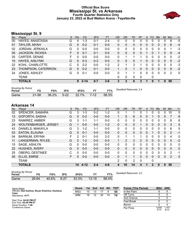#### **Official Box Score Mississippi St. vs Arkansas Fourth Quarter Statistics Only January 23, 2022 at Bud Walton Arena - Fayetteville**



### **Mississippi St. 9**

| No. | Player                 | S  | Pts          | <b>FG</b> | 3FG     | <b>FT</b> | <b>OR</b>    | DR | <b>TR</b> | <b>PF</b> | A            | TO       | <b>B</b> lk | Stl      | Min | $+/-$    |
|-----|------------------------|----|--------------|-----------|---------|-----------|--------------|----|-----------|-----------|--------------|----------|-------------|----------|-----|----------|
| 00  | HAYES, ANASTASIA       | G  | 4            | $1 - 3$   | $0 - 1$ | $2 - 4$   | 0            | 0  | 0         | Ω         | 0            | $\Omega$ | O           | 0        | 8   | -5       |
| 01  | TAYLOR, MYAH           | G  | 0            | $0 - 2$   | $0 - 1$ | $0-0$     | $\mathbf{0}$ | 0  | 0         | 0         | 0            | $\Omega$ | 0           | 0        | 6   | $-4$     |
| 02  | JORDAN, JERKAILA       | G  | 0            | $0 - 0$   | $0-0$   | $0-0$     | 0            | 0  | 0         | 0         | 0            | 0        | 0           | 0        |     | $-3$     |
| 05  | <b>JACKSON, RICKEA</b> | F. | 0            | $0 - 1$   | $0 - 1$ | $0-0$     | $\mathbf{0}$ | 0  | 0         | 0         |              | $\Omega$ |             | 0        | 9   | $-4$     |
| 25  | CARTER, DENAE          | F  | 0            | $0 - 0$   | $0 - 0$ | $0-0$     | 0            |    | 1         |           | 0            | 0        | 0           | 0        | 5   | $-2$     |
| 10  | <b>HAYES, AISLYNN</b>  | G  | $\Omega$     | $0 - 3$   | $0 - 3$ | $0 - 0$   | $\mathbf{0}$ | 0  | 0         |           | 0            | $\Omega$ | 0           | $\Omega$ | 5   | $-2$     |
| 22  | KOHL, CHARLOTTE        | С  | 5            | $2 - 2$   | $0 - 0$ | $1 - 2$   | 2            |    | 3         |           | 0            | 0        | 0           | 0        | 5   | $-3$     |
| 23  | THOMPSON, CATERRION    | G  | 0            | $0 - 2$   | $0 - 1$ | $0 - 0$   | 1            | 0  | 1         | 0         | $\mathbf{0}$ | $\Omega$ | 0           | $\Omega$ | 9   | $-2$     |
| 24  | JONES, ASHLEY          | G  | <sup>0</sup> | $0 - 1$   | $0-0$   | $0-0$     | 0            |    | 1         | 0         | 0            | 0        | 0           | 0        | 2   | $\Omega$ |
|     | <b>TEAM</b>            |    |              |           |         |           | 0            | 0  | 0         | 0         |              | 0        |             |          |     |          |
|     | <b>TOTALS</b>          |    | 9            | $3 - 14$  | $0 - 7$ | $3 - 6$   | 3            | 3  | 6         | 3         | 1            | $\bf{0}$ | 1           | 0        | 50  |          |
|     |                        |    |              |           |         |           |              |    |           |           |              |          |             |          |     |          |

| <b>Shooting By Period</b><br>Period | FG    | FG%   | 3FG      | 3FG%  | FТ   | FT%   | Deadball Rebounds: 2,4 |
|-------------------------------------|-------|-------|----------|-------|------|-------|------------------------|
| Game                                | 21-58 | 36.2% | $5 - 22$ | 22.7% | 7-12 | 58.3% |                        |

### **Arkansas 14**

| No. | Player                      | S | <b>Pts</b> | <b>FG</b> | 3FG     | <b>FT</b> | <b>OR</b>    | <b>DR</b>    | TR           | PF       | A        | <b>TO</b>    | <b>Blk</b> | <b>Stl</b>   | Min            | $+/-$ |
|-----|-----------------------------|---|------------|-----------|---------|-----------|--------------|--------------|--------------|----------|----------|--------------|------------|--------------|----------------|-------|
| 02  | SPENCER, SAMARA             | G | 3          | $1 - 3$   | $0 - 2$ | $1 - 2$   | 0            |              |              | 0        |          | 0            | 0          | 0            | 10             | 5     |
| 13  | GOFORTH, SASHA              | G | 0          | $0 - 2$   | $0 - 0$ | $0 - 0$   |              | 5            | 6            | $\Omega$ | $\Omega$ |              | $\Omega$   | 0            | $\overline{7}$ | 8     |
| 23  | RAMIREZ, AMBER              | G | 3          | $1 - 1$   | 1-1     | $0 - 0$   | $\mathbf{0}$ | 0            | 0            | 0        | $\Omega$ | 0            | 0          | 0            | 8              | 6     |
| 24  | <b>WOLFENBARGER, JERSEY</b> | G |            | $0 - 0$   | $0 - 0$ | $1 - 2$   | $\mathbf{0}$ | $\mathbf{0}$ | 0            |          | 0        | 0            | $\Omega$   | 0            | 3              | 5     |
| 43  | DANIELS, MAKAYLA            | G | 3          | $1 - 2$   | 1-1     | $0 - 0$   | 0            | 0            | 0            | 0        | 0        | 0            | 0          | 0            | 6              | 5     |
| 03  | EATON, ELAUNA               | G | 0          | $0 - 1$   | $0 - 0$ | $0 - 0$   | $\mathbf{0}$ | $\mathbf{0}$ | 0            | $\Omega$ | 0        |              | 0          | $\Omega$     | $\overline{2}$ | $-1$  |
| 04  | <b>BARNUM, ERYNN</b>        | F | 2          | $0 - 1$   | $0 - 0$ | $2 - 2$   | 0            |              |              |          | 0        | 0            | 0          | 0            | 4              | 0     |
| 11  | LANGERMAN, RYLEE            | G | 2          | $1 - 2$   | $0 - 0$ | $0 - 0$   | $\mathbf{1}$ | 2            | 3            | 2        | 0        | 0            | 0          | 0            | 5              | $-2$  |
| 15  | SAGE, ASHLYN                | G | $\Omega$   | $0 - 0$   | $0 - 0$ | $0 - 0$   | 0            | 0            | 0            | 0        | 0        | 0            | 0          | 0            | 0              | 0     |
| 22  | <b>HUGHES, AVERY</b>        | G | 0          | $0 - 0$   | $0 - 0$ | $0 - 0$   | 0            | 0            | 0            | $\Omega$ | 0        | 0            | 0          | 0            | $\Omega$       | 0     |
| 25  | <b>OBERG, DESTINEE</b>      | С | $\Omega$   | $0 - 0$   | $0 - 0$ | $0 - 0$   | 0            | 0            | $\mathbf{0}$ | 0        | 0        | 0            | 0          | 0            | 2              | -1    |
| 55  | ELLIS, EMRIE                | F | 0          | $0 - 0$   | $0-0$   | $0 - 0$   | $\Omega$     | 1            | 1            | $\Omega$ | $\Omega$ | $\Omega$     | $\Omega$   | 0            | 2              | 0     |
|     | <b>TEAM</b>                 |   |            |           |         |           | 2            | 0            | 2            | 0        |          | 0            |            |              |                |       |
|     | <b>TOTALS</b>               |   | 14         | $4 - 12$  | $2 - 4$ | $4 - 6$   | 4            | 10           | 14           | 4        |          | $\mathbf{2}$ | 0          | $\mathbf{0}$ | 50             |       |
|     |                             |   |            |           |         |           |              |              |              |          |          |              |            |              |                |       |

| <b>Shooting By Period</b><br>Period | FG    | FG%   | 3FG      | 3FG%  |           | FT%   | Deadball Rebounds: 2,0 |
|-------------------------------------|-------|-------|----------|-------|-----------|-------|------------------------|
| Game                                | 26-64 | 40.6% | $9 - 27$ | 33.3% | $13 - 19$ | 68.4% |                        |

| Game Notes:                                                       | <b>Score</b> |    | 1st 2nd | $\blacksquare$ 3rd | 4th | <b>TOT</b> | <b>Points (This Period)</b> | <b>MSU</b>    | <b>ARK</b>    |
|-------------------------------------------------------------------|--------------|----|---------|--------------------|-----|------------|-----------------------------|---------------|---------------|
| Officials: Dee Kantner, Bryan Enterline, Karleena<br><b>Tobin</b> | <b>MSU</b>   | 15 |         |                    |     | 54         | In the Paint                |               |               |
| Attendance: 4177                                                  | ARK          | 16 |         | 32                 | 14  | 74         | Off Turns                   |               |               |
|                                                                   |              |    |         |                    |     |            | 2nd Chance                  |               |               |
| Start Time: 04:02 PM ET<br>End Time: 05:49 PM ET                  |              |    |         |                    |     |            | <b>Fast Break</b>           |               |               |
| Game Duration: 1:46                                               |              |    |         |                    |     |            | Bench                       |               |               |
| Conference Game:                                                  |              |    |         |                    |     |            | Per Poss                    | 0.692<br>5/13 | 1.167<br>6/12 |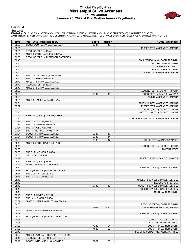### **Official Play-By-Play Mississippi St. vs Arkansas Fourth Quarter January 23, 2022 at Bud Walton Arena - Fayetteville**



#### **Period 4**

#### **Starters:**

**Mississippi St.**: 0 HAYES,ANASTASIA (G); 1 TAYLOR,MYAH (G); 2 JORDAN,JERKAILA (G); 5 JACKSON,RICKEA (F); 25 CARTER,DENAE (F);<br>**Arkansas**: 2 SPENCER,SAMARA (G); 13 GOFORTH,SASHA (G); 23 RAMIREZ,AMBER (G); 24 WOLFENBARGER,J

| Time  | <b>VISITORS: Mississippi St.</b>     | <b>Score</b> | <b>Margin</b> | <b>HOME: Arkansas</b>                   |
|-------|--------------------------------------|--------------|---------------|-----------------------------------------|
| 09:50 | GOOD! LAYUP by HAYES, ANASTASIA      | 60-47        | H 13          |                                         |
| 09:25 |                                      |              |               | MISSED 3PTR by SPENCER, SAMARA          |
| 09:25 | REBOUND (DEF) by TEAM                |              |               |                                         |
| 09:01 | MISSED 3PTR by JACKSON, RICKEA       |              |               |                                         |
| 08:58 | REBOUND (OFF) by THOMPSON, CATERRION |              |               |                                         |
| 08:40 |                                      |              |               | FOUL (PERSONAL) by BARNUM, ERYNN        |
| 08:40 |                                      |              |               | SUB OUT: BARNUM, ERYNN                  |
| 08:40 |                                      |              |               | SUB OUT: LANGERMAN, RYLEE               |
| 08:40 |                                      |              |               | SUB IN: GOFORTH, SASHA                  |
| 08:40 |                                      |              |               | SUB IN: WOLFENBARGER, JERSEY            |
| 08:40 | SUB OUT: THOMPSON, CATERRION         |              |               |                                         |
| 08:40 | SUB IN: JORDAN, JERKAILA             |              |               |                                         |
| 08:40 | MISSED FT by HAYES, ANASTASIA        |              |               |                                         |
| 08:40 | REBOUND (OFF) by TEAM                |              |               |                                         |
| 08:40 | MISSED FT by HAYES, ANASTASIA        |              |               |                                         |
| 08:38 |                                      |              |               | REBOUND (DEF) by GOFORTH, SASHA         |
| 08:23 |                                      | 63-47        | H 16          | GOOD! 3PTR by DANIELS, MAKAYLA          |
| 08:23 |                                      |              |               | ASSIST by SPENCER, SAMARA               |
| 08:05 | MISSED JUMPER by TAYLOR, MYAH        |              |               |                                         |
| 08:01 |                                      |              |               |                                         |
| 07:57 |                                      |              |               | REBOUND (DEF) by SPENCER, SAMARA        |
|       |                                      |              |               | MISSED 3PTR by SPENCER, SAMARA          |
| 07:53 |                                      |              |               | REBOUND (OFF) by GOFORTH, SASHA         |
| 07:48 |                                      |              |               | MISSED JUMPER by GOFORTH, SASHA         |
| 07:45 | REBOUND (DEF) by CARTER, DENAE       |              |               |                                         |
| 07:34 |                                      |              |               | FOUL (PERSONAL) by WOLFENBARGER, JERSEY |
| 07:34 | SUB OUT: TAYLOR, MYAH                |              |               |                                         |
| 07:34 | SUB OUT: JORDAN, JERKAILA            |              |               |                                         |
| 07:34 | SUB IN: HAYES, AISLYNN               |              |               |                                         |
| 07:34 | SUB IN: THOMPSON, CATERRION          |              |               |                                         |
| 07:34 | GOOD! FT by HAYES, ANASTASIA         | 63-48        | H 15          |                                         |
| 07:34 | GOOD! FT by HAYES, ANASTASIA         | 63-49        | H 14          |                                         |
| 07:08 |                                      | 66-49        | H 17          | GOOD! 3PTR by RAMIREZ, AMBER            |
| 06:44 | MISSED 3PTR by HAYES, AISLYNN        |              |               |                                         |
| 06:40 |                                      |              |               | REBOUND (DEF) by GOFORTH, SASHA         |
| 06:33 |                                      |              |               | TIMEOUT 30SEC                           |
| 06:33 | SUB OUT: JACKSON, RICKEA             |              |               |                                         |
| 06:33 | SUB IN: TAYLOR, MYAH                 |              |               |                                         |
| 06:12 |                                      |              |               | MISSED LAYUP by DANIELS, MAKAYLA        |
| 06:12 | REBOUND (DEF) by TEAM                |              |               |                                         |
| 05:42 | MISSED 3PTR by TAYLOR, MYAH          |              |               |                                         |
| 05:39 |                                      |              |               | REBOUND (DEF) by GOFORTH, SASHA         |
| 05:18 | FOUL (PERSONAL) by CARTER, DENAE     |              |               |                                         |
| 05:18 | SUB OUT: CARTER, DENAE               |              |               |                                         |
| 05:18 | SUB IN: KOHL, CHARLOTTE              |              |               |                                         |
| 05:18 |                                      |              |               | MISSED FT by WOLFENBARGER, JERSEY       |
| 05:18 |                                      |              |               | REBOUND (OFF) by TEAM                   |
| 05:18 |                                      | 67-49        | H 18          | GOOD! FT by WOLFENBARGER, JERSEY        |
| 05:18 |                                      |              |               | SUB OUT: WOLFENBARGER, JERSEY           |
| 05:18 |                                      |              |               | SUB IN: BARNUM, ERYNN                   |
| 05:18 | SUB OUT: HAYES, AISLYNN              |              |               |                                         |
| 05:18 | SUB IN: JACKSON, RICKEA              |              |               |                                         |
| 05:02 | MISSED JUMPER by HAYES, ANASTASIA    |              |               |                                         |
| 04:58 |                                      |              |               | REBOUND (DEF) by BARNUM, ERYNN          |
| 04:44 |                                      | 69-49        | H 20          | GOOD! LAYUP by SPENCER, SAMARA          |
| 04:33 | MISSED 3PTR by HAYES, ANASTASIA      |              |               |                                         |
| 04:28 |                                      |              |               | REBOUND (DEF) by GOFORTH, SASHA         |
| 04:05 | FOUL (PERSONAL) by KOHL, CHARLOTTE   |              |               |                                         |
| 04:05 |                                      |              |               | SUB OUT: DANIELS, MAKAYLA               |
| 04:05 |                                      |              |               | SUB IN: LANGERMAN, RYLEE                |
| 04:05 |                                      | 70-49        | H 21          | GOOD! FT by BARNUM, ERYNN               |
| 04:05 |                                      | 71-49        | H 22          | GOOD! FT by BARNUM, ERYNN               |
| 03:40 |                                      |              |               | FOUL (PERSONAL) by LANGERMAN, RYLEE     |
| 03:22 | MISSED LAYUP by THOMPSON, CATERRION  |              |               |                                         |
| 03:16 | REBOUND (OFF) by KOHL, CHARLOTTE     |              |               |                                         |
| 03:16 | GOOD! LAYUP by KOHL, CHARLOTTE       | 71-51        | H 20          |                                         |
|       |                                      |              |               |                                         |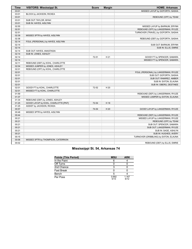| <b>Time</b> | <b>VISITORS: Mississippi St.</b>     | <b>Score</b> | <b>Margin</b> | <b>HOME: Arkansas</b>                 |
|-------------|--------------------------------------|--------------|---------------|---------------------------------------|
| 03:01       |                                      |              |               | MISSED LAYUP by GOFORTH, SASHA        |
| 03:01       | BLOCK by JACKSON, RICKEA             |              |               |                                       |
| 03:01       |                                      |              |               | REBOUND (OFF) by TEAM                 |
| 03:01       | SUB OUT: TAYLOR, MYAH                |              |               |                                       |
| 03:01       | SUB IN: HAYES, AISLYNN               |              |               |                                       |
| 02:55       |                                      |              |               | MISSED LAYUP by BARNUM, ERYNN         |
| 02:51       |                                      |              |               | REBOUND (OFF) by LANGERMAN, RYLEE     |
| 02:51       |                                      |              |               | TURNOVER (TRAVEL) by GOFORTH, SASHA   |
| 02:39       | MISSED 3PTR by HAYES, AISLYNN        |              |               |                                       |
| 02:36       |                                      |              |               | REBOUND (DEF) by GOFORTH, SASHA       |
| 02:14       | FOUL (PERSONAL) by HAYES, AISLYNN    |              |               |                                       |
| 02:14       |                                      |              |               | SUB OUT: BARNUM, ERYNN                |
| 02:14       |                                      |              |               | SUB IN: ELLIS, EMRIE                  |
| 02:14       | SUB OUT: HAYES, ANASTASIA            |              |               |                                       |
| 02:14       | SUB IN: JONES, ASHLEY                |              |               |                                       |
| 02:14       |                                      | 72-51        | H 21          | GOOD! FT by SPENCER, SAMARA           |
| 02:14       |                                      |              |               | MISSED FT by SPENCER, SAMARA          |
| 02:11       | REBOUND (DEF) by KOHL, CHARLOTTE     |              |               |                                       |
| 02:04       | MISSED JUMPER by JONES, ASHLEY       |              |               |                                       |
| 02:01       | REBOUND (OFF) by KOHL, CHARLOTTE     |              |               |                                       |
| 02:01       |                                      |              |               | FOUL (PERSONAL) by LANGERMAN, RYLEE   |
| 02:01       |                                      |              |               | SUB OUT: GOFORTH, SASHA               |
| 02:01       |                                      |              |               | SUB OUT: RAMIREZ, AMBER               |
| 02:01       |                                      |              |               | SUB IN: EATON, ELAUNA                 |
| 02:01       |                                      |              |               | SUB IN: OBERG, DESTINEE               |
| 02:01       | GOOD! FT by KOHL, CHARLOTTE          | 72-52        | H 20          |                                       |
| 02:01       | MISSED FT by KOHL, CHARLOTTE         |              |               |                                       |
| 01:59       |                                      |              |               | REBOUND (DEF) by LANGERMAN, RYLEE     |
| 01:37       |                                      |              |               | MISSED JUMPER by EATON, ELAUNA        |
| 01:34       | REBOUND (DEF) by JONES, ASHLEY       |              |               |                                       |
| 01:25       | GOOD! LAYUP by KOHL, CHARLOTTE [PNT] | 72-54        | H 18          |                                       |
| 01:25       | ASSIST by JACKSON, RICKEA            |              |               |                                       |
| 00:57       |                                      | 74-54        | H 20          | GOOD! LAYUP by LANGERMAN, RYLEE       |
| 00:48       | MISSED 3PTR by HAYES, AISLYNN        |              |               |                                       |
| 00:44       |                                      |              |               | REBOUND (DEF) by LANGERMAN, RYLEE     |
| 00:21       |                                      |              |               | MISSED LAYUP by LANGERMAN, RYLEE      |
| 00:21       |                                      |              |               | REBOUND (OFF) by TEAM                 |
| 00:21       |                                      |              |               | SUB OUT: SPENCER, SAMARA              |
| 00:21       |                                      |              |               | SUB OUT: LANGERMAN, RYLEE             |
| 00:21       |                                      |              |               | SUB IN: SAGE, ASHLYN                  |
| 00:21       |                                      |              |               | SUB IN: HUGHES, AVERY                 |
| 00:15       |                                      |              |               | TURNOVER (DRIBBLING) by EATON, ELAUNA |
| 00:06       | MISSED 3PTR by THOMPSON, CATERRION   |              |               |                                       |
| 00:02       |                                      |              |               | REBOUND (DEF) by ELLIS, EMRIE         |

### **Mississippi St. 54, Arkansas 74**

| <b>Points (This Period)</b> | <b>MSU</b>    | <b>ARK</b>    |
|-----------------------------|---------------|---------------|
| In the Paint                |               |               |
| Off Turns                   |               |               |
| 2nd Chance                  |               |               |
| Fast Break                  |               |               |
| Bench                       |               |               |
| Per Poss                    | 0.692<br>5/13 | 1.167<br>6/12 |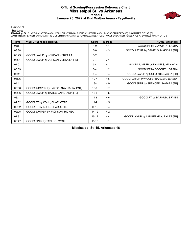### **Official Scoring/Possession Reference Chart Mississippi St. vs Arkansas Period 1 January 23, 2022 at Bud Walton Arena - Fayetteville**



**Period 1**

#### **Starters:**

**Mississippi St.**: 0 HAYES,ANASTASIA (G); 1 TAYLOR,MYAH (G); 2 JORDAN,JERKAILA (G); 5 JACKSON,RICKEA (F); 25 CARTER,DENAE (F);<br>**Arkansas**: 2 SPENCER,SAMARA (G); 13 GOFORTH,SASHA (G); 23 RAMIREZ,AMBER (G); 24 WOLFENBARGER,J

| <b>Time</b> | <b>VISITORS: Mississippi St.</b>       | <b>Score</b> | <b>Margin</b>  | <b>HOME: Arkansas</b>                |
|-------------|----------------------------------------|--------------|----------------|--------------------------------------|
| 08:57       |                                        | $1 - 0$      | H <sub>1</sub> | GOOD! FT by GOFORTH, SASHA           |
| 08:38       |                                        | $3-0$        | $H_3$          | GOOD! LAYUP by DANIELS, MAKAYLA [FB] |
| 08:23       | GOOD! LAYUP by JORDAN, JERKAILA        | $3 - 2$      | H <sub>1</sub> |                                      |
| 08:01       | GOOD! LAYUP by JORDAN, JERKAILA [FB]   | $3 - 4$      | V <sub>1</sub> |                                      |
| 07:01       |                                        | $5 - 4$      | H <sub>1</sub> | GOOD! JUMPER by DANIELS, MAKAYLA     |
| 06:09       |                                        | $6 - 4$      | H <sub>2</sub> | GOOD! FT by GOFORTH, SASHA           |
| 05:41       |                                        | $8 - 4$      | H4             | GOOD! LAYUP by GOFORTH, SASHA [FB]   |
| 05:06       |                                        | $10 - 4$     | H <sub>6</sub> | GOOD! LAYUP by WOLFENBARGER, JERSEY  |
| 04:41       |                                        | $13 - 4$     | H <sub>9</sub> | GOOD! 3PTR by SPENCER, SAMARA [FB]   |
| 03:58       | GOOD! JUMPER by HAYES, ANASTASIA [PNT] | $13-6$       | H 7            |                                      |
| 03:36       | GOOD! LAYUP by HAYES, ANASTASIA [FB]   | $13 - 8$     | H <sub>5</sub> |                                      |
| 03:11       |                                        | $14 - 8$     | H <sub>6</sub> | GOOD! FT by BARNUM, ERYNN            |
| 02:52       | GOOD! FT by KOHL, CHARLOTTE            | $14-9$       | H <sub>5</sub> |                                      |
| 02:52       | GOOD! FT by KOHL, CHARLOTTE            | $14 - 10$    | H <sub>4</sub> |                                      |
| 02:25       | GOOD! JUMPER by JACKSON, RICKEA        | $14 - 12$    | H <sub>2</sub> |                                      |
| 01:31       |                                        | $16-12$      | H4             | GOOD! LAYUP by LANGERMAN, RYLEE [FB] |
| 00:47       | GOOD! 3PTR by TAYLOR, MYAH             | $16 - 15$    | H <sub>1</sub> |                                      |

**Mississippi St. 15, Arkansas 16**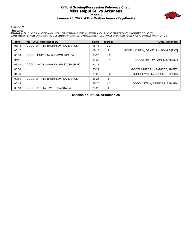### **Official Scoring/Possession Reference Chart Mississippi St. vs Arkansas Period 2 January 23, 2022 at Bud Walton Arena - Fayetteville**



**Period 2**

#### **Starters:**

**Mississippi St.**: 0 HAYES,ANASTASIA (G); 1 TAYLOR,MYAH (G); 2 JORDAN,JERKAILA (G); 5 JACKSON,RICKEA (F); 25 CARTER,DENAE (F);<br>**Arkansas**: 2 SPENCER,SAMARA (G); 13 GOFORTH,SASHA (G); 23 RAMIREZ,AMBER (G); 24 WOLFENBARGER,J

| <b>Time</b> | <b>VISITORS: Mississippi St.</b>      | <b>Score</b> | <b>Margin</b>  | <b>HOME: Arkansas</b>                 |
|-------------|---------------------------------------|--------------|----------------|---------------------------------------|
| 08:18       | GOOD! 3PTR by THOMPSON, CATERRION     | $16-18$      | V <sub>2</sub> |                                       |
| 06:47       |                                       | $18-18$      |                | GOOD! LAYUP by DANIELS, MAKAYLA [PNT] |
| 06:30       | GOOD! JUMPER by JACKSON, RICKEA       | 18-20        | V <sub>2</sub> |                                       |
| 04:41       |                                       | $21 - 20$    | H <sub>1</sub> | GOOD! 3PTR by RAMIREZ, AMBER          |
| 03:54       | GOOD! LAYUP by HAYES, ANASTASIA [PNT] | $21-22$      | V <sub>1</sub> |                                       |
| 03:36       |                                       | $23-22$      | H <sub>1</sub> | GOOD! JUMPER by RAMIREZ, AMBER        |
| 01:36       |                                       | $25 - 22$    | $H_3$          | GOOD! LAYUP by GOFORTH, SASHA         |
| 00:54       | GOOD! 3PTR by THOMPSON, CATERRION     | $25 - 25$    |                |                                       |
| 00:45       |                                       | 28-25        | $H_3$          | GOOD! 3PTR by SPENCER, SAMARA         |
| 00:18       | GOOD! 3PTR by HAYES, ANASTASIA        | 28-28        |                |                                       |

**Mississippi St. 28, Arkansas 28**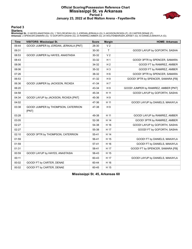### **Official Scoring/Possession Reference Chart Mississippi St. vs Arkansas Period 3 January 23, 2022 at Bud Walton Arena - Fayetteville**



**Period 3**

#### **Starters:**

**Mississippi St.**: 0 HAYES,ANASTASIA (G); 1 TAYLOR,MYAH (G); 2 JORDAN,JERKAILA (G); 5 JACKSON,RICKEA (F); 25 CARTER,DENAE (F);<br>**Arkansas**: 2 SPENCER,SAMARA (G); 13 GOFORTH,SASHA (G); 23 RAMIREZ,AMBER (G); 24 WOLFENBARGER,J

| <b>Time</b> | <b>VISITORS: Mississippi St.</b>             | <b>Score</b> | <b>Margin</b>  | <b>HOME: Arkansas</b>                |
|-------------|----------------------------------------------|--------------|----------------|--------------------------------------|
| 09:44       | GOOD! JUMPER by JORDAN, JERKAILA [PNT]       | 28-30        | V <sub>2</sub> |                                      |
| 09:31       |                                              | 30-30        | $\mathsf{T}$   | GOOD! LAYUP by GOFORTH, SASHA        |
| 08:53       | GOOD! JUMPER by HAYES, ANASTASIA             | 30-32        | V <sub>2</sub> |                                      |
| 08:43       |                                              | 33-32        | H <sub>1</sub> | GOOD! 3PTR by SPENCER, SAMARA        |
| 08:06       |                                              | 34-32        | H <sub>2</sub> | GOOD! FT by RAMIREZ, AMBER           |
| 08:06       |                                              | 35-32        | $H_3$          | GOOD! FT by RAMIREZ, AMBER           |
| 07:26       |                                              | 38-32        | H <sub>6</sub> | GOOD! 3PTR by SPENCER, SAMARA        |
| 06:53       |                                              | 41-32        | H9             | GOOD! 3PTR by SPENCER, SAMARA [FB]   |
| 06:36       | GOOD! JUMPER by JACKSON, RICKEA              | 41-34        | H <sub>7</sub> |                                      |
| 06:20       |                                              | 43-34        | H9             | GOOD! JUMPER by RAMIREZ, AMBER [PNT] |
| 04:58       |                                              | 45-34        | H 11           | GOOD! LAYUP by GOFORTH, SASHA        |
| 04:34       | GOOD! LAYUP by JACKSON, RICKEA [PNT]         | 45-36        | H9             |                                      |
| 04:02       |                                              | 47-36        | H 11           | GOOD! LAYUP by DANIELS, MAKAYLA      |
| 03:38       | GOOD! JUMPER by THOMPSON, CATERRION<br>[PNT] | 47-38        | H9             |                                      |
| 03:28       |                                              | 49-38        | H 11           | GOOD! LAYUP by RAMIREZ, AMBER        |
| 03:05       |                                              | 52-38        | H 14           | GOOD! 3PTR by RAMIREZ, AMBER         |
| 02:27       |                                              | 54-38        | H 16           | GOOD! LAYUP by GOFORTH, SASHA        |
| 02:27       |                                              | 55-38        | H 17           | GOOD! FT by GOFORTH, SASHA           |
| 02:10       | GOOD! 3PTR by THOMPSON, CATERRION            | 55-41        | H 14           |                                      |
| 01:59       |                                              | 56-41        | H 15           | GOOD! FT by DANIELS, MAKAYLA         |
| 01:59       |                                              | $57-41$      | H 16           | GOOD! FT by DANIELS, MAKAYLA         |
| 01:31       |                                              | 58-41        | H 17           | GOOD! FT by SPENCER, SAMARA [FB]     |
| 00:59       | GOOD! LAYUP by HAYES, ANASTASIA              | 58-43        | H 15           |                                      |
| 00:11       |                                              | 60-43        | H 17           | GOOD! LAYUP by DANIELS, MAKAYLA      |
| 00:02       | GOOD! FT by CARTER, DENAE                    | 60-44        | H 16           |                                      |
| 00:02       | GOOD! FT by CARTER, DENAE                    | 60-45        | H 15           |                                      |

**Mississippi St. 45, Arkansas 60**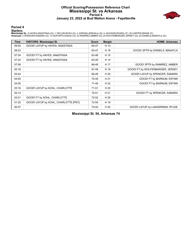### **Official Scoring/Possession Reference Chart Mississippi St. vs Arkansas Period 4 January 23, 2022 at Bud Walton Arena - Fayetteville**



**Period 4**

#### **Starters:**

**Mississippi St.**: 0 HAYES,ANASTASIA (G); 1 TAYLOR,MYAH (G); 2 JORDAN,JERKAILA (G); 5 JACKSON,RICKEA (F); 25 CARTER,DENAE (F);<br>**Arkansas**: 2 SPENCER,SAMARA (G); 13 GOFORTH,SASHA (G); 23 RAMIREZ,AMBER (G); 24 WOLFENBARGER,J

| <b>Time</b> | <b>VISITORS: Mississippi St.</b>     | <b>Score</b> | <b>Margin</b> | <b>HOME: Arkansas</b>            |
|-------------|--------------------------------------|--------------|---------------|----------------------------------|
| 09:50       | GOOD! LAYUP by HAYES, ANASTASIA      | 60-47        | H 13          |                                  |
| 08:23       |                                      | 63-47        | H 16          | GOOD! 3PTR by DANIELS, MAKAYLA   |
| 07:34       | GOOD! FT by HAYES, ANASTASIA         | 63-48        | H 15          |                                  |
| 07:34       | GOOD! FT by HAYES, ANASTASIA         | 63-49        | H 14          |                                  |
| 07:08       |                                      | 66-49        | H 17          | GOOD! 3PTR by RAMIREZ, AMBER     |
| 05:18       |                                      | 67-49        | H 18          | GOOD! FT by WOLFENBARGER, JERSEY |
| 04:44       |                                      | 69-49        | H 20          | GOOD! LAYUP by SPENCER, SAMARA   |
| 04:05       |                                      | 70-49        | H 21          | GOOD! FT by BARNUM, ERYNN        |
| 04:05       |                                      | 71-49        | H 22          | GOOD! FT by BARNUM, ERYNN        |
| 03:16       | GOOD! LAYUP by KOHL, CHARLOTTE       | $71 - 51$    | H 20          |                                  |
| 02:14       |                                      | $72 - 51$    | H 21          | GOOD! FT by SPENCER, SAMARA      |
| 02:01       | GOOD! FT by KOHL, CHARLOTTE          | $72 - 52$    | H 20          |                                  |
| 01:25       | GOOD! LAYUP by KOHL, CHARLOTTE [PNT] | 72-54        | H 18          |                                  |
| 00:57       |                                      | 74-54        | H 20          | GOOD! LAYUP by LANGERMAN, RYLEE  |

**Mississippi St. 54, Arkansas 74**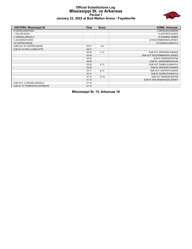#### **Official Substitutions Log Mississippi St. vs Arkansas Period 1 January 23, 2022 at Bud Walton Arena - Fayetteville**



| <b>VISITORS: Mississippi St.</b> | <b>Time</b> | <b>Score</b> | <b>HOME: Arkansas</b>         |
|----------------------------------|-------------|--------------|-------------------------------|
| 0 HAYES, ANASTASIA               |             |              | 2 SPENCER, SAMARA             |
| 1 TAYLOR, MYAH                   |             |              | 13 GOFORTH, SASHA             |
| 2 JORDAN, JERKAILA               |             |              | 23 RAMIREZ, AMBER             |
| 5 JACKSON, RICKEA                |             |              | 24 WOLFENBARGER, JERSEY       |
| 25 CARTER, DENAE                 |             |              | 43 DANIELS, MAKAYLA           |
| SUB OUT: 25 CARTER, DENAE        | 05:51       | $4-6$        |                               |
| SUB IN: 22 KOHL, CHARLOTTE       | 05:51       |              |                               |
|                                  | 04:40       | $4 - 13$     | SUB OUT: SPENCER, SAMARA      |
|                                  | 04:40       |              | SUB OUT: WOLFENBARGER, JERSEY |
|                                  | 04:40       |              | SUB IN: BARNUM, ERYNN         |
|                                  | 04:40       |              | SUB IN: LANGERMAN, RYLEE      |
|                                  | 03:20       | $8 - 13$     | SUB OUT: DANIELS, MAKAYLA     |
|                                  | 03:20       |              | SUB IN: SPENCER, SAMARA       |
|                                  | 03:11       | $8 - 13$     | SUB OUT: GOFORTH, SASHA       |
|                                  | 03:11       |              | SUB IN: DANIELS, MAKAYLA      |
|                                  | 01:10       | $12 - 16$    | SUB OUT: BARNUM, ERYNN        |
|                                  | 01:10       |              | SUB IN: WOLFENBARGER, JERSEY  |
| SUB OUT: 2 JORDAN, JERKAILA      | 01:10       |              |                               |
| SUB IN: 23 THOMPSON, CATERRION   | 01:10       |              |                               |

**Mississippi St. 15, Arkansas 16**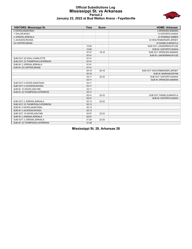### **Official Substitutions Log Mississippi St. vs Arkansas Period 2 January 23, 2022 at Bud Walton Arena - Fayetteville**



| <b>VISITORS: Mississippi St.</b> | <b>Time</b> | <b>Score</b>             | <b>HOME: Arkansas</b>         |
|----------------------------------|-------------|--------------------------|-------------------------------|
| 0 HAYES, ANASTASIA               |             |                          | 2 SPENCER, SAMARA             |
| 1 TAYLOR, MYAH                   |             |                          | 13 GOFORTH, SASHA             |
| 2 JORDAN, JERKAILA               |             |                          | 23 RAMIREZ, AMBER             |
| 5 JACKSON, RICKEA                |             |                          | 24 WOLFENBARGER, JERSEY       |
| 25 CARTER, DENAE                 |             |                          | 43 DANIELS, MAKAYLA           |
|                                  | 10:00       | $\overline{\phantom{a}}$ | SUB OUT: LANGERMAN, RYLEE     |
|                                  | 10:00       |                          | SUB IN: GOFORTH, SASHA        |
|                                  | 07:41       | $18 - 16$                | SUB OUT: SPENCER, SAMARA      |
|                                  | 07:41       |                          | SUB IN: LANGERMAN, RYLEE      |
| SUB OUT: 22 KOHL, CHARLOTTE      | 07:41       |                          |                               |
| SUB OUT: 23 THOMPSON, CATERRION  | 07:41       |                          |                               |
| SUB IN: 2 JORDAN, JERKAILA       | 07:41       |                          |                               |
| SUB IN: 25 CARTER, DENAE         | 07:41       |                          |                               |
|                                  | 05:19       | $20 - 18$                | SUB OUT: WOLFENBARGER, JERSEY |
|                                  | 05:19       |                          | SUB IN: BARNUM, ERYNN         |
|                                  | 03:11       | $22 - 23$                | SUB OUT: GOFORTH, SASHA       |
|                                  | 03:11       |                          | SUB IN: SPENCER, SAMARA       |
| SUB OUT: 0 HAYES, ANASTASIA      | 03:11       |                          |                               |
| SUB OUT: 5 JACKSON, RICKEA       | 03:11       |                          |                               |
| SUB IN: 10 HAYES, AISLYNN        | 03:11       |                          |                               |
| SUB IN: 23 THOMPSON, CATERRION   | 03:11       |                          |                               |
|                                  | 02:41       | $22 - 23$                | SUB OUT: DANIELS, MAKAYLA     |
|                                  | 02:41       |                          | SUB IN: GOFORTH, SASHA        |
| SUB OUT: 2 JORDAN, JERKAILA      | 02:13       | 22-23                    |                               |
| SUB OUT: 23 THOMPSON, CATERRION  | 02:13       |                          |                               |
| SUB IN: 0 HAYES, ANASTASIA       | 02:13       |                          |                               |
| SUB IN: 5 JACKSON, RICKEA        | 02:13       |                          |                               |
| SUB OUT: 10 HAYES, AISLYNN       | 02:07       | $22 - 23$                |                               |
| SUB IN: 2 JORDAN, JERKAILA       | 02:07       |                          |                               |
| SUB OUT: 2 JORDAN, JERKAILA      | 01:29       | 22-25                    |                               |
| SUB IN: 23 THOMPSON, CATERRION   | 01:29       |                          |                               |

**Mississippi St. 28, Arkansas 28**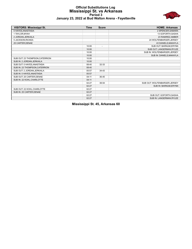#### **Official Substitutions Log Mississippi St. vs Arkansas Period 3 January 23, 2022 at Bud Walton Arena - Fayetteville**



| <b>VISITORS: Mississippi St.</b> | <b>Time</b> | <b>Score</b>             | <b>HOME: Arkansas</b>         |
|----------------------------------|-------------|--------------------------|-------------------------------|
| 0 HAYES, ANASTASIA               |             |                          | 2 SPENCER, SAMARA             |
| 1 TAYLOR, MYAH                   |             |                          | 13 GOFORTH, SASHA             |
| 2 JORDAN, JERKAILA               |             |                          | 23 RAMIREZ, AMBER             |
| 5 JACKSON, RICKEA                |             |                          | 24 WOLFENBARGER, JERSEY       |
| 25 CARTER, DENAE                 |             |                          | 43 DANIELS, MAKAYLA           |
|                                  | 10:00       | $\overline{\phantom{a}}$ | SUB OUT: BARNUM, ERYNN        |
|                                  | 10:00       |                          | SUB OUT: LANGERMAN, RYLEE     |
|                                  | 10:00       |                          | SUB IN: WOLFENBARGER, JERSEY  |
|                                  | 10:00       |                          | SUB IN: DANIELS, MAKAYLA      |
| SUB OUT: 23 THOMPSON, CATERRION  | 10:00       |                          |                               |
| SUB IN: 2 JORDAN, JERKAILA       | 10:00       |                          |                               |
| SUB OUT: 0 HAYES, ANASTASIA      | 08:40       | 32-33                    |                               |
| SUB IN: 23 THOMPSON, CATERRION   | 08:40       |                          |                               |
| SUB OUT: 2 JORDAN, JERKAILA      | 05:57       | $34-43$                  |                               |
| SUB IN: 0 HAYES, ANASTASIA       | 05:57       |                          |                               |
| SUB OUT: 25 CARTER, DENAE        | 04:11       | 36-45                    |                               |
| SUB IN: 22 KOHL, CHARLOTTE       | 04:11       |                          |                               |
|                                  | 02:27       | 38-54                    | SUB OUT: WOLFENBARGER, JERSEY |
|                                  | 02:27       |                          | SUB IN: BARNUM, ERYNN         |
| SUB OUT: 22 KOHL, CHARLOTTE      | 02:27       |                          |                               |
| SUB IN: 25 CARTER, DENAE         | 02:27       |                          |                               |
|                                  | 02:27       |                          | SUB OUT: GOFORTH, SASHA       |
|                                  | 02:27       |                          | SUB IN: LANGERMAN, RYLEE      |

**Mississippi St. 45, Arkansas 60**